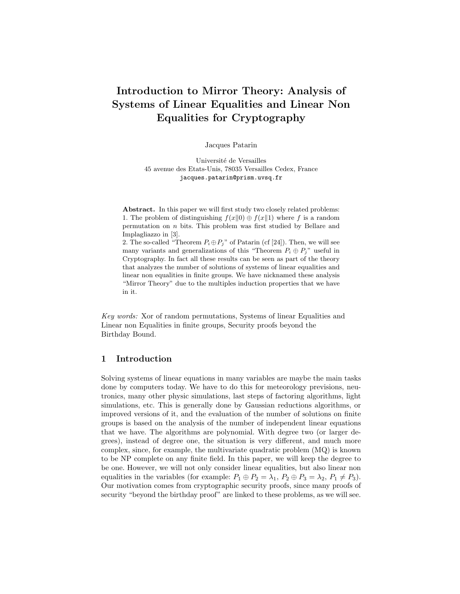# Introduction to Mirror Theory: Analysis of Systems of Linear Equalities and Linear Non Equalities for Cryptography

Jacques Patarin

Université de Versailles 45 avenue des Etats-Unis, 78035 Versailles Cedex, France jacques.patarin@prism.uvsq.fr

Abstract. In this paper we will first study two closely related problems: 1. The problem of distinguishing  $f(x||0) \oplus f(x||1)$  where f is a random permutation on  $n$  bits. This problem was first studied by Bellare and Implagliazzo in [3].

2. The so-called "Theorem  $P_i \oplus P_j$ " of Patarin (cf [24]). Then, we will see many variants and generalizations of this "Theorem  $P_i \oplus P_j$ " useful in Cryptography. In fact all these results can be seen as part of the theory that analyzes the number of solutions of systems of linear equalities and linear non equalities in finite groups. We have nicknamed these analysis "Mirror Theory" due to the multiples induction properties that we have in it.

Key words: Xor of random permutations, Systems of linear Equalities and Linear non Equalities in finite groups, Security proofs beyond the Birthday Bound.

### 1 Introduction

Solving systems of linear equations in many variables are maybe the main tasks done by computers today. We have to do this for meteorology previsions, neutronics, many other physic simulations, last steps of factoring algorithms, light simulations, etc. This is generally done by Gaussian reductions algorithms, or improved versions of it, and the evaluation of the number of solutions on finite groups is based on the analysis of the number of independent linear equations that we have. The algorithms are polynomial. With degree two (or larger degrees), instead of degree one, the situation is very different, and much more complex, since, for example, the multivariate quadratic problem (MQ) is known to be NP complete on any finite field. In this paper, we will keep the degree to be one. However, we will not only consider linear equalities, but also linear non equalities in the variables (for example:  $P_1 \oplus P_2 = \lambda_1$ ,  $P_2 \oplus P_3 = \lambda_2$ ,  $P_1 \neq P_3$ ). Our motivation comes from cryptographic security proofs, since many proofs of security "beyond the birthday proof" are linked to these problems, as we will see.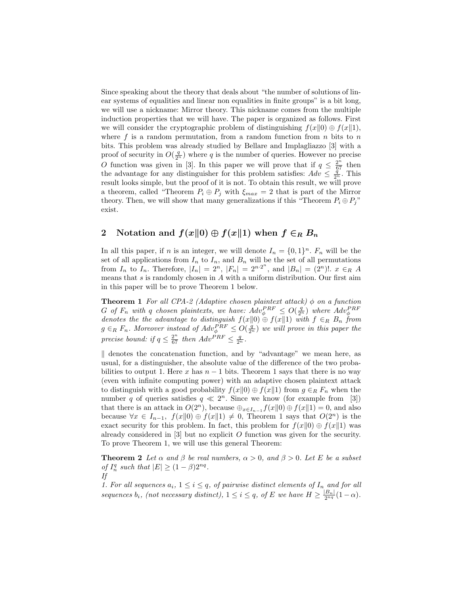Since speaking about the theory that deals about "the number of solutions of linear systems of equalities and linear non equalities in finite groups" is a bit long, we will use a nickname: Mirror theory. This nickname comes from the multiple induction properties that we will have. The paper is organized as follows. First we will consider the cryptographic problem of distinguishing  $f(x||0) \oplus f(x||1)$ , where f is a random permutation, from a random function from  $n$  bits to  $n$ bits. This problem was already studied by Bellare and Implagliazzo [3] with a proof of security in  $O(\frac{q}{2^n})$  where q is the number of queries. However no precise O function was given in [3]. In this paper we will prove that if  $q \leq \frac{2^n}{67}$  then the advantage for any distinguisher for this problem satisfies:  $Adv \leq \frac{q}{2^n}$ . This result looks simple, but the proof of it is not. To obtain this result, we will prove a theorem, called "Theorem  $P_i \oplus P_j$  with  $\xi_{max} = 2$  that is part of the Mirror theory. Then, we will show that many generalizations if this "Theorem  $P_i \oplus P_j$ " exist.

## 2 Notation and  $f(x||0) \oplus f(x||1)$  when  $f \in_R B_n$

In all this paper, if *n* is an integer, we will denote  $I_n = \{0,1\}^n$ .  $F_n$  will be the set of all applications from  $I_n$  to  $I_n$ , and  $B_n$  will be the set of all permutations from  $I_n$  to  $I_n$ . Therefore,  $|I_n| = 2^n$ ,  $|F_n| = 2^{n \cdot 2^n}$ , and  $|B_n| = (2^n)!$ .  $x \in_R A$ means that  $s$  is randomly chosen in  $A$  with a uniform distribution. Our first aim in this paper will be to prove Theorem 1 below.

**Theorem 1** For all CPA-2 (Adaptive chosen plaintext attack)  $\phi$  on a function G of  $F_n$  with q chosen plaintexts, we have:  $Adv_{\phi}^{PRF} \le O(\frac{q}{2^n})$  where  $Adv_{\phi}^{PRF}$  denotes the the advantage to distinguish  $f(x||0) \oplus f(x||1)$  with  $f \in_R B_n$  from  $g \in_R F_n$ . Moreover instead of  $Adv_{\phi}^{PRF} \leq O(\frac{q}{2^n})$  we will prove in this paper the precise bound: if  $q \leq \frac{2^n}{67}$  then  $Adv^{PRF} \leq \frac{q}{2^n}$ .

 $\parallel$  denotes the concatenation function, and by "advantage" we mean here, as usual, for a distinguisher, the absolute value of the difference of the two probabilities to output 1. Here x has  $n-1$  bits. Theorem 1 says that there is no way (even with infinite computing power) with an adaptive chosen plaintext attack to distinguish with a good probability  $f(x||0) \oplus f(x||1)$  from  $g \in_R F_n$  when the number q of queries satisfies  $q \ll 2^n$ . Since we know (for example from [3]) that there is an attack in  $O(2<sup>n</sup>)$ , because  $\bigoplus_{x \in I_{n-1}} f(x||0) \bigoplus f(x||1) = 0$ , and also because  $\forall x \in I_{n-1}, f(x||0) \oplus f(x||1) \neq 0$ , Theorem 1 says that  $O(2^n)$  is the exact security for this problem. In fact, this problem for  $f(x||0) \oplus f(x||1)$  was already considered in  $[3]$  but no explicit O function was given for the security. To prove Theorem 1, we will use this general Theorem:

**Theorem 2** Let  $\alpha$  and  $\beta$  be real numbers,  $\alpha > 0$ , and  $\beta > 0$ . Let E be a subset of  $I_n^q$  such that  $|E| \geq (1 - \beta)2^{nq}$ . If

1. For all sequences  $a_i$ ,  $1 \leq i \leq q$ , of pairwise distinct elements of  $I_n$  and for all sequences  $b_i$ , (not necessary distinct),  $1 \leq i \leq q$ , of E we have  $H \geq \frac{|B_n|}{2^{nq}}(1-\alpha)$ .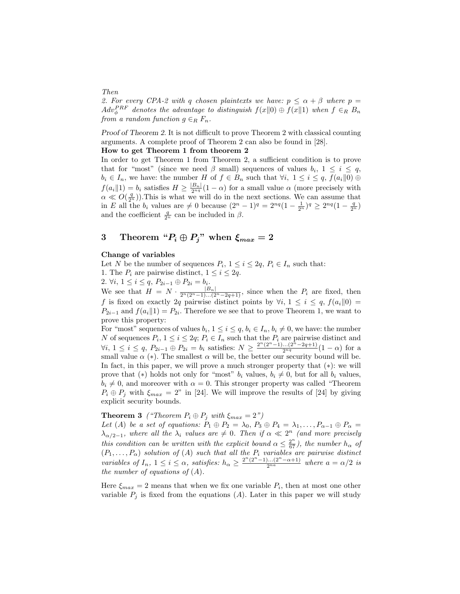2. For every CPA-2 with q chosen plaintexts we have:  $p \le \alpha + \beta$  where  $p =$  $Adv_{\phi}^{PRF}$  denotes the advantage to distinguish  $f(x\|0) \oplus f(x\|1)$  when  $f \in_R B_n$ from a random function  $g \in_R F_n$ .

Proof of Theorem 2. It is not difficult to prove Theorem 2 with classical counting arguments. A complete proof of Theorem 2 can also be found in [28].

#### How to get Theorem 1 from theorem 2

In order to get Theorem 1 from Theorem 2, a sufficient condition is to prove that for "most" (since we need  $\beta$  small) sequences of values  $b_i, 1 \leq i \leq q$ ,  $b_i \in I_n$ , we have: the number H of  $f \in B_n$  such that  $\forall i, 1 \leq i \leq q$ ,  $f(a_i||0) \oplus$  $f(a_i||1) = b_i$  satisfies  $H \geq \frac{|B_n|}{2^{nq}}(1-\alpha)$  for a small value  $\alpha$  (more precisely with  $\alpha \ll O(\frac{q}{2^n})$ . This is what we will do in the next sections. We can assume that in E all the  $b_i$  values are  $\neq 0$  because  $(2^n - 1)^q = 2^{nq}(1 - \frac{1}{2^n})^q \geq 2^{nq}(1 - \frac{q}{2^n})$ and the coefficient  $\frac{q}{2^n}$  can be included in  $\beta$ .

## 3 Theorem " $P_i \oplus P_j$ " when  $\xi_{max} = 2$

#### Change of variables

Let N be the number of sequences  $P_i$ ,  $1 \leq i \leq 2q$ ,  $P_i \in I_n$  such that:

1. The  $P_i$  are pairwise distinct,  $1 \leq i \leq 2q$ .

2.  $\forall i, 1 \leq i \leq q, P_{2i-1} \oplus P_{2i} = b_i.$ 

We see that  $H = N \cdot \frac{|B_n|}{2^n (2^n-1)...(2^n-2q+1)}$ , since when the  $P_i$  are fixed, then f is fixed on exactly 2q pairwise distinct points by  $\forall i, 1 \leq i \leq q$ ,  $f(a_i \| 0) =$  $P_{2i-1}$  and  $f(a_i||1) = P_{2i}$ . Therefore we see that to prove Theorem 1, we want to prove this property:

For "most" sequences of values  $b_i$ ,  $1 \leq i \leq q$ ,  $b_i \in I_n$ ,  $b_i \neq 0$ , we have: the number N of sequences  $P_i$ ,  $1 \leq i \leq 2q$ ;  $P_i \in I_n$  such that the  $P_i$  are pairwise distinct and  $\forall i, 1 \leq i \leq q, P_{2i-1} \oplus P_{2i} = b_i$  satisfies:  $N \geq \frac{2^n (2^n - 1) \dots (2^n - 2q + 1)}{2^{n_q}}(1 - \alpha)$  for a small value  $\alpha$  (\*). The smallest  $\alpha$  will be, the better our security bound will be. In fact, in this paper, we will prove a much stronger property that (∗): we will prove that (\*) holds not only for "most"  $b_i$  values,  $b_i \neq 0$ , but for all  $b_i$  values,  $b_i \neq 0$ , and moreover with  $\alpha = 0$ . This stronger property was called "Theorem  $P_i \oplus P_j$  with  $\xi_{max} = 2$ " in [24]. We will improve the results of [24] by giving explicit security bounds.

**Theorem 3** ("Theorem  $P_i \oplus P_j$  with  $\xi_{max} = 2"$ )

Let (A) be a set of equations:  $P_1 \oplus P_2 = \lambda_0$ ,  $P_3 \oplus P_4 = \lambda_1, \ldots, P_{\alpha-1} \oplus P_{\alpha} =$  $\lambda_{\alpha/2-1}$ , where all the  $\lambda_i$  values are  $\neq 0$ . Then if  $\alpha \ll 2^n$  (and more precisely this condition can be written with the explicit bound  $\alpha \leq \frac{2^n}{67}$ , the number  $h_{\alpha}$  of  $(P_1, \ldots, P_\alpha)$  solution of  $(A)$  such that all the  $P_i$  variables are pairwise distinct variables of  $I_n$ ,  $1 \leq i \leq \alpha$ , satisfies:  $h_{\alpha} \geq \frac{2^n (2^n - 1) \dots (2^n - \alpha + 1)}{2^{n \alpha}}$  where  $a = \alpha/2$  is the number of equations of  $(A)$ .

Here  $\xi_{max} = 2$  means that when we fix one variable  $P_i$ , then at most one other variable  $P_j$  is fixed from the equations  $(A)$ . Later in this paper we will study

Then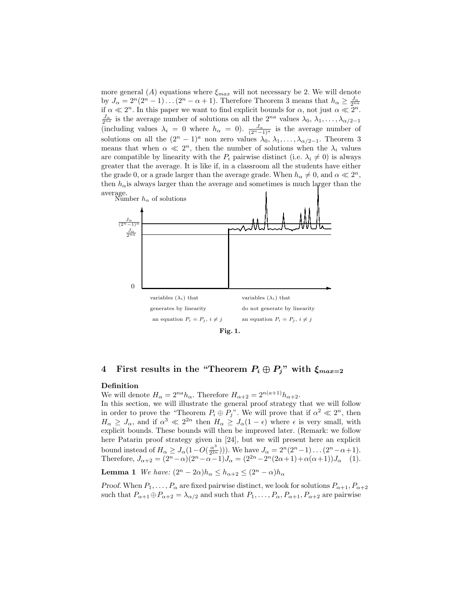more general (A) equations where  $\xi_{max}$  will not necessary be 2. We will denote by  $J_{\alpha} = 2^{n}(2^{n} - 1) \dots (2^{n} - \alpha + 1)$ . Therefore Theorem 3 means that  $h_{\alpha} \ge \frac{J_{\alpha}}{2^{na}}$ if  $\alpha \ll 2^n$ . In this paper we want to find explicit bounds for  $\alpha$ , not just  $\alpha \ll 2^n$ .  $\frac{J_{\alpha}}{2^{na}}$  is the average number of solutions on all the  $2^{na}$  values  $\lambda_0, \lambda_1, \ldots, \lambda_{\alpha/2-1}$ (including values  $\lambda_i = 0$  where  $h_{\alpha} = 0$ ).  $\frac{J_{\alpha}}{(2^{n}-1)^{a}}$  is the average number of solutions on all the  $(2^{n} - 1)^{a}$  non zero values  $\lambda_0, \lambda_1, \ldots, \lambda_{\alpha/2-1}$ . Theorem 3 means that when  $\alpha \ll 2^n$ , then the number of solutions when the  $\lambda_i$  values are compatible by linearity with the  $P_i$  pairwise distinct (i.e.  $\lambda_i \neq 0$ ) is always greater that the average. It is like if, in a classroom all the students have either the grade 0, or a grade larger than the average grade. When  $h_{\alpha} \neq 0$ , and  $\alpha \ll 2^{n}$ , then  $h_{\alpha}$  is always larger than the average and sometimes is much larger than the average.



## 4 First results in the "Theorem  $P_i \oplus P_j$ " with  $\xi_{max=2}$

#### Definition

We will denote  $H_{\alpha} = 2^{na} h_{\alpha}$ . Therefore  $H_{\alpha+2} = 2^{n(a+1)} h_{\alpha+2}$ . In this section, we will illustrate the general proof strategy that we will follow in order to prove the "Theorem  $P_i \oplus P_j$ ". We will prove that if  $\alpha^2 \ll 2^n$ , then  $H_{\alpha} \geq J_{\alpha}$ , and if  $\alpha^3 \ll 2^{2n}$  then  $H_{\alpha} \geq J_{\alpha}(1-\epsilon)$  where  $\epsilon$  is very small, with explicit bounds. These bounds will then be improved later. (Remark: we follow here Patarin proof strategy given in [24], but we will present here an explicit bound instead of  $H_{\alpha} \geq J_{\alpha} (1 - O(\frac{\alpha^3}{2^{2r}}))$  $\frac{\alpha^3}{2^{2n}}$ )). We have  $J_{\alpha} = 2^n(2^n - 1) \dots (2^n - \alpha + 1)$ . Therefore,  $J_{\alpha+2} = (2^{n} - \alpha)(2^{n} - \alpha - 1)J_{\alpha} = (2^{2n} - 2^{n}(2\alpha + 1) + \alpha(\alpha + 1))J_{\alpha}$  (1).

**Lemma 1** We have:  $(2^n - 2\alpha)h_\alpha \leq h_{\alpha+2} \leq (2^n - \alpha)h_\alpha$ 

Proof. When  $P_1, \ldots, P_\alpha$  are fixed pairwise distinct, we look for solutions  $P_{\alpha+1}, P_{\alpha+2}$ such that  $P_{\alpha+1}\oplus P_{\alpha+2}=\lambda_{\alpha/2}$  and such that  $P_1,\ldots,P_\alpha,P_{\alpha+1},P_{\alpha+2}$  are pairwise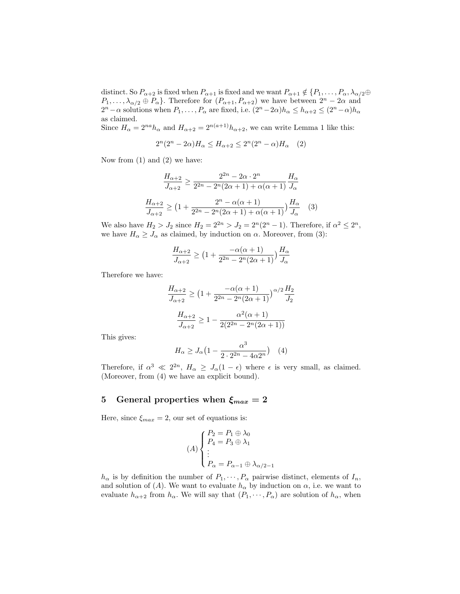distinct. So  $P_{\alpha+2}$  is fixed when  $P_{\alpha+1}$  is fixed and we want  $P_{\alpha+1} \notin \{P_1, \ldots, P_\alpha, \lambda_{\alpha/2} \oplus \ldots\}$  $P_1, \ldots, \lambda_{\alpha/2} \oplus P_\alpha$ . Therefore for  $(P_{\alpha+1}, P_{\alpha+2})$  we have between  $2^n - 2\alpha$  and  $2^{n}-\alpha$  solutions when  $P_1, \ldots, P_\alpha$  are fixed, i.e.  $(2^{n}-2\alpha)h_\alpha \leq h_{\alpha+2} \leq (2^{n}-\alpha)h_\alpha$ as claimed.

Since  $H_{\alpha} = 2^{na} h_{\alpha}$  and  $H_{\alpha+2} = 2^{n(a+1)} h_{\alpha+2}$ , we can write Lemma 1 like this:

$$
2^{n}(2^{n}-2\alpha)H_{\alpha} \leq H_{\alpha+2} \leq 2^{n}(2^{n}-\alpha)H_{\alpha} \quad (2)
$$

Now from (1) and (2) we have:

$$
\frac{H_{\alpha+2}}{J_{\alpha+2}} \ge \frac{2^{2n} - 2\alpha \cdot 2^n}{2^{2n} - 2^n (2\alpha + 1) + \alpha(\alpha + 1)} \frac{H_{\alpha}}{J_{\alpha}}
$$

$$
\frac{H_{\alpha+2}}{J_{\alpha+2}} \ge \left(1 + \frac{2^n - \alpha(\alpha + 1)}{2^{2n} - 2^n (2\alpha + 1) + \alpha(\alpha + 1)}\right) \frac{H_{\alpha}}{J_{\alpha}} \tag{3}
$$

We also have  $H_2 > J_2$  since  $H_2 = 2^{2n} > J_2 = 2^n(2^n - 1)$ . Therefore, if  $\alpha^2 \leq 2^n$ , we have  $H_{\alpha} \geq J_{\alpha}$  as claimed, by induction on  $\alpha$ . Moreover, from (3):

$$
\frac{H_{\alpha+2}}{J_{\alpha+2}} \ge \left(1 + \frac{-\alpha(\alpha+1)}{2^{2n} - 2^n(2\alpha+1)}\right) \frac{H_{\alpha}}{J_{\alpha}}
$$

Therefore we have:

$$
\frac{H_{\alpha+2}}{J_{\alpha+2}} \ge \left(1 + \frac{-\alpha(\alpha+1)}{2^{2n} - 2^n(2\alpha+1)}\right)^{\alpha/2} \frac{H_2}{J_2}
$$

$$
\frac{H_{\alpha+2}}{J_{\alpha+2}} \ge 1 - \frac{\alpha^2(\alpha+1)}{2(2^{2n} - 2^n(2\alpha+1))}
$$

This gives:

$$
H_{\alpha} \ge J_{\alpha} \left( 1 - \frac{\alpha^3}{2 \cdot 2^{2n} - 4\alpha 2^n} \right) \quad (4)
$$

Therefore, if  $\alpha^3 \ll 2^{2n}$ ,  $H_\alpha \geq J_\alpha(1-\epsilon)$  where  $\epsilon$  is very small, as claimed. (Moreover, from (4) we have an explicit bound).

### 5 General properties when  $\xi_{max} = 2$

Here, since  $\xi_{max} = 2$ , our set of equations is:

$$
(A) \begin{cases} P_2 = P_1 \oplus \lambda_0 \\ P_4 = P_3 \oplus \lambda_1 \\ \vdots \\ P_\alpha = P_{\alpha - 1} \oplus \lambda_{\alpha/2 - 1} \end{cases}
$$

 $h_{\alpha}$  is by definition the number of  $P_1, \dots, P_{\alpha}$  pairwise distinct, elements of  $I_n$ , and solution of (A). We want to evaluate  $h_{\alpha}$  by induction on  $\alpha$ , i.e. we want to evaluate  $h_{\alpha+2}$  from  $h_{\alpha}$ . We will say that  $(P_1, \dots, P_{\alpha})$  are solution of  $h_{\alpha}$ , when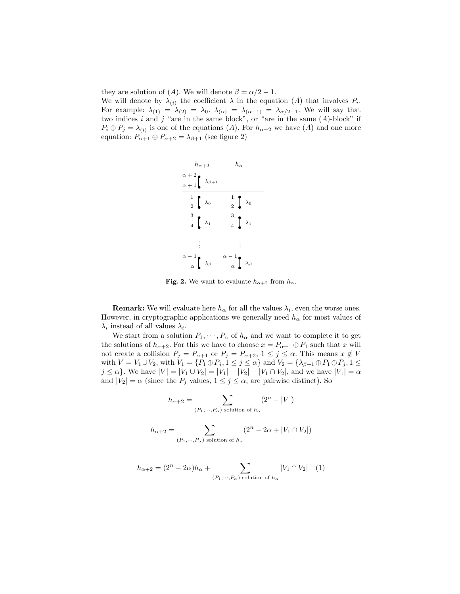they are solution of (A). We will denote  $\beta = \alpha/2 - 1$ .

We will denote by  $\lambda_{(i)}$  the coefficient  $\lambda$  in the equation  $(A)$  that involves  $P_i$ . For example:  $\lambda_{(1)} = \lambda_{(2)} = \lambda_0$ .  $\lambda_{(\alpha)} = \lambda_{(\alpha-1)} = \lambda_{\alpha/2-1}$ . We will say that two indices i and j "are in the same block", or "are in the same  $(A)$ -block" if  $P_i \oplus P_j = \lambda_{(i)}$  is one of the equations (A). For  $h_{\alpha+2}$  we have (A) and one more equation:  $P_{\alpha+1} \oplus P_{\alpha+2} = \lambda_{\beta+1}$  (see figure 2)



Fig. 2. We want to evaluate  $h_{\alpha+2}$  from  $h_{\alpha}$ .

**Remark:** We will evaluate here  $h_{\alpha}$  for all the values  $\lambda_i$ , even the worse ones. However, in cryptographic applications we generally need  $h_{\alpha}$  for most values of  $\lambda_i$  instead of all values  $\lambda_i$ .

We start from a solution  $P_1, \dots, P_\alpha$  of  $h_\alpha$  and we want to complete it to get the solutions of  $h_{\alpha+2}$ . For this we have to choose  $x = P_{\alpha+1} \oplus P_1$  such that x will not create a collision  $P_j = P_{\alpha+1}$  or  $P_j = P_{\alpha+2}$ ,  $1 \le j \le \alpha$ . This means  $x \notin V$ with  $V = V_1 \cup V_2$ , with  $V_1 = \{P_1 \oplus P_j, 1 \leq j \leq \alpha\}$  and  $V_2 = \{\lambda_{\beta+1} \oplus P_1 \oplus P_j, 1 \leq \alpha\}$  $j \le \alpha$ . We have  $|V| = |V_1 \cup V_2| = |V_1| + |V_2| - |V_1 \cap V_2|$ , and we have  $|V_1| = \alpha$ and  $|V_2| = \alpha$  (since the  $P_j$  values,  $1 \leq j \leq \alpha$ , are pairwise distinct). So

$$
h_{\alpha+2} = \sum_{(P_1, \dots, P_\alpha) \text{ solution of } h_\alpha} (2^n - |V|)
$$
  

$$
h_{\alpha+2} = \sum (2^n - 2\alpha + |V_1 \cap V_2|)
$$

$$
(P_1, \cdots, P_\alpha)
$$
 solution of  $h_\alpha$ 

$$
h_{\alpha+2} = (2^n - 2\alpha)h_{\alpha} + \sum_{(P_1, \cdots, P_{\alpha}) \text{ solution of } h_{\alpha}} |V_1 \cap V_2| \quad (1)
$$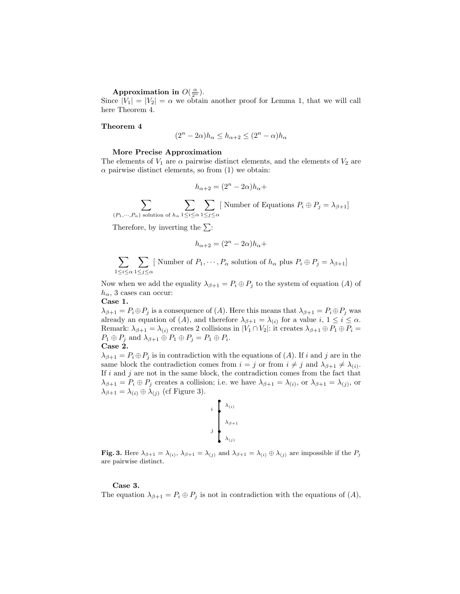Approximation in  $O(\frac{\alpha}{2^n})$ .

Since  $|V_1| = |V_2| = \alpha$  we obtain another proof for Lemma 1, that we will call here Theorem 4.

#### Theorem 4

$$
(2^n - 2\alpha)h_{\alpha} \le h_{\alpha+2} \le (2^n - \alpha)h_{\alpha}
$$

#### More Precise Approximation

The elements of  $V_1$  are  $\alpha$  pairwise distinct elements, and the elements of  $V_2$  are  $\alpha$  pairwise distinct elements, so from (1) we obtain:

$$
h_{\alpha+2} = (2^n - 2\alpha)h_{\alpha} +
$$

 $\sum$  $(P_1,\dots,P_\alpha)$  solution of  $h_\alpha$  $\sum$  $1\leq i\leq \alpha$  $\sum$  $1\leq j\leq \alpha$ [ Number of Equations  $P_i \oplus P_j = \lambda_{\beta+1}$ ]

Therefore, by inverting the  $\Sigma$ :

$$
h_{\alpha+2} = (2^n - 2\alpha)h_{\alpha} +
$$

$$
\sum_{1 \le i \le \alpha} \sum_{1 \le j \le \alpha} [\text{ Number of } P_1, \cdots, P_\alpha \text{ solution of } h_\alpha \text{ plus } P_i \oplus P_j = \lambda_{\beta+1}]
$$

Now when we add the equality  $\lambda_{\beta+1} = P_i \oplus P_j$  to the system of equation (A) of  $h_{\alpha}$ , 3 cases can occur:

Case 1.

 $\lambda_{\beta+1} = P_i \oplus P_j$  is a consequence of  $(A)$ . Here this means that  $\lambda_{\beta+1} = P_i \oplus P_j$  was already an equation of  $(A)$ , and therefore  $\lambda_{\beta+1} = \lambda_{(i)}$  for a value  $i, 1 \leq i \leq \alpha$ . Remark:  $\lambda_{\beta+1} = \lambda_{(i)}$  creates 2 collisions in  $|V_1 \cap V_2|$ : it creates  $\lambda_{\beta+1} \oplus P_1 \oplus P_i =$  $P_1 \oplus P_j$  and  $\lambda_{\beta+1} \oplus P_1 \oplus P_j = P_1 \oplus P_i$ . Case 2.

 $\lambda_{\beta+1} = P_i \oplus P_j$  is in contradiction with the equations of  $(A)$ . If i and j are in the same block the contradiction comes from  $i = j$  or from  $i \neq j$  and  $\lambda_{\beta+1} \neq \lambda_{(i)}$ . If  $i$  and  $j$  are not in the same block, the contradiction comes from the fact that  $\lambda_{\beta+1} = P_i \oplus P_j$  creates a collision; i.e. we have  $\lambda_{\beta+1} = \lambda_{(i)}$ , or  $\lambda_{\beta+1} = \lambda_{(j)}$ , or  $\lambda_{\beta+1} = \lambda_{(i)} \oplus \lambda_{(j)}$  (cf Figure 3).

$$
\begin{array}{c}\ni \\
\downarrow \\
\downarrow \\
\downarrow \\
\lambda_{\beta+1} \\
\lambda_{(j)}\n\end{array}
$$

**Fig. 3.** Here  $\lambda_{\beta+1} = \lambda_{(i)}$ ,  $\lambda_{\beta+1} = \lambda_{(j)}$  and  $\lambda_{\beta+1} = \lambda_{(i)} \oplus \lambda_{(j)}$  are impossible if the  $P_j$ are pairwise distinct.

#### Case 3.

The equation  $\lambda_{\beta+1} = P_i \oplus P_j$  is not in contradiction with the equations of  $(A)$ ,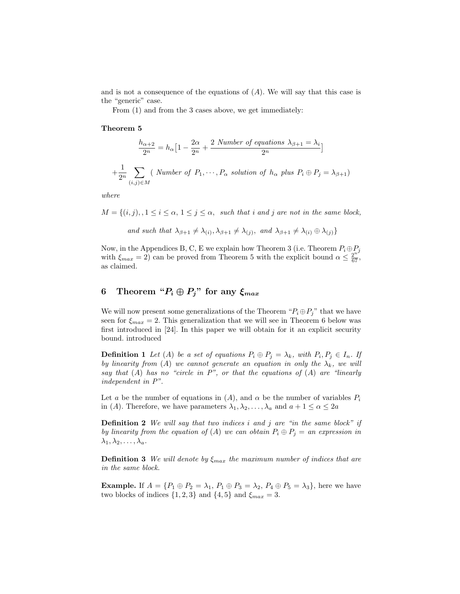and is not a consequence of the equations of  $(A)$ . We will say that this case is the "generic" case.

From (1) and from the 3 cases above, we get immediately:

#### Theorem 5

$$
\frac{h_{\alpha+2}}{2^n} = h_{\alpha} \Big[ 1 - \frac{2\alpha}{2^n} + \frac{2 \text{ Number of equations } \lambda_{\beta+1} = \lambda_i}{2^n} \Big]
$$

$$
+ \frac{1}{2^n} \sum_{(i,j) \in M} (\text{ Number of } P_1, \dots, P_{\alpha} \text{ solution of } h_{\alpha} \text{ plus } P_i \oplus P_j = \lambda_{\beta+1})
$$

where

 $M = \{(i, j), 1 \le i \le \alpha, 1 \le j \le \alpha, \text{ such that } i \text{ and } j \text{ are not in the same block},\}$ 

and such that 
$$
\lambda_{\beta+1} \neq \lambda_{(i)}, \lambda_{\beta+1} \neq \lambda_{(j)},
$$
 and  $\lambda_{\beta+1} \neq \lambda_{(i)} \oplus \lambda_{(j)}$ 

Now, in the Appendices B, C, E we explain how Theorem 3 (i.e. Theorem  $P_i \oplus P_j$ with  $\xi_{max} = 2$  can be proved from Theorem 5 with the explicit bound  $\alpha \leq \frac{2^{n^j}}{67}$ , as claimed.

## 6 Theorem " $P_i \oplus P_j$ " for any  $\xi_{max}$

We will now present some generalizations of the Theorem " $P_i \oplus P_j$ " that we have seen for  $\xi_{max} = 2$ . This generalization that we will see in Theorem 6 below was first introduced in [24]. In this paper we will obtain for it an explicit security bound. introduced

**Definition 1** Let (A) be a set of equations  $P_i \oplus P_j = \lambda_k$ , with  $P_i, P_j \in I_n$ . If by linearity from (A) we cannot generate an equation in only the  $\lambda_k$ , we will say that  $(A)$  has no "circle in  $P$ ", or that the equations of  $(A)$  are "linearly independent in P".

Let a be the number of equations in  $(A)$ , and  $\alpha$  be the number of variables  $P_i$ in (A). Therefore, we have parameters  $\lambda_1, \lambda_2, \ldots, \lambda_a$  and  $a + 1 \leq \alpha \leq 2a$ 

**Definition 2** We will say that two indices i and j are "in the same block" if by linearity from the equation of (A) we can obtain  $P_i \oplus P_j =$  an expression in  $\lambda_1, \lambda_2, \ldots, \lambda_a$ .

**Definition 3** We will denote by  $\xi_{max}$  the maximum number of indices that are in the same block.

**Example.** If  $A = \{P_1 \oplus P_2 = \lambda_1, P_1 \oplus P_3 = \lambda_2, P_4 \oplus P_5 = \lambda_3\}$ , here we have two blocks of indices  $\{1, 2, 3\}$  and  $\{4, 5\}$  and  $\xi_{max} = 3$ .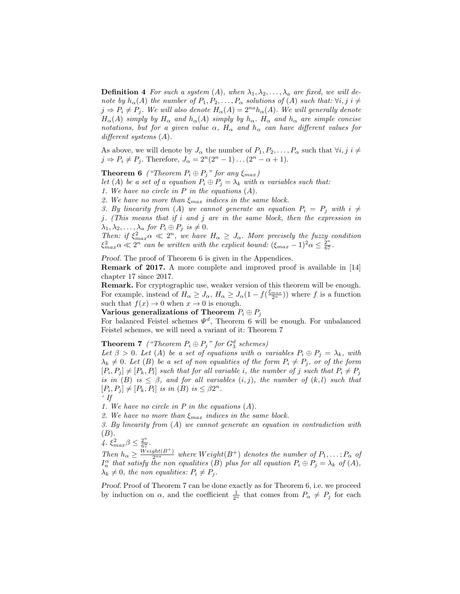**Definition 4** For such a system (A), when  $\lambda_1, \lambda_2, \ldots, \lambda_a$  are fixed, we will denote by  $h_{\alpha}(A)$  the number of  $P_1, P_2, \ldots, P_{\alpha}$  solutions of  $(A)$  such that:  $\forall i, j \in \neq$  $j \Rightarrow P_i \neq P_j$ . We will also denote  $H_{\alpha}(A) = 2^{na} h_{\alpha}(A)$ . We will generally denote  $H_{\alpha}(A)$  simply by  $H_{\alpha}$  and  $h_{\alpha}(A)$  simply by  $h_{\alpha}$ .  $H_{\alpha}$  and  $h_{\alpha}$  are simple concise notations, but for a given value  $\alpha$ ,  $H_{\alpha}$  and  $h_{\alpha}$  can have different values for different systems  $(A)$ .

As above, we will denote by  $J_{\alpha}$  the number of  $P_1, P_2, \ldots, P_{\alpha}$  such that  $\forall i, j \in \neq$  $j \Rightarrow P_i \neq P_j$ . Therefore,  $J_\alpha = 2^n(2^n - 1)\dots(2^n - \alpha + 1)$ .

**Theorem 6** ("Theorem  $P_i \oplus P_j$ " for any  $\xi_{max}$ )

let (A) be a set of a equation  $P_i \oplus P_j = \lambda_k$  with  $\alpha$  variables such that:

1. We have no circle in  $P$  in the equations  $(A)$ .

2. We have no more than  $\xi_{max}$  indices in the same block.

3. By linearity from (A) we cannot generate an equation  $P_i = P_j$  with  $i \neq j$ 

j. (This means that if i and j are in the same block, then the expression in  $\lambda_1, \lambda_2, \ldots, \lambda_a$  for  $P_i \oplus P_j$  is  $\neq 0$ .

Then: if  $\xi_{max}^2 \alpha \ll 2^n$ , we have  $H_\alpha \geq J_\alpha$ . More precisely the fuzzy condition  $\xi_{max}^2 \alpha \ll 2^n$  can be written with the explicit bound:  $(\xi_{max} - 1)^2 \alpha \leq \frac{2^n}{67}$ .

Proof. The proof of Theorem 6 is given in the Appendices.

Remark of 2017. A more complete and improved proof is available in [14] chapter 17 since 2017.

Remark. For cryptographic use, weaker version of this theorem will be enough. For example, instead of  $H_{\alpha} \geq J_{\alpha}$ ,  $H_{\alpha} \geq J_{\alpha} (1 - f(\frac{\xi_{max}}{2^n}))$  where f is a function such that  $f(x) \to 0$  when  $x \to 0$  is enough.

Various generalizations of Theorem  $P_i \oplus P_j$ 

For balanced Feistel schemes  $\Psi^d$ , Theorem 6 will be enough. For unbalanced Feistel schemes, we will need a variant of it: Theorem 7

## **Theorem 7** ("Theorem  $P_i \oplus P_j$ " for  $G_3^d$  schemes)

Let  $\beta > 0$ . Let  $(A)$  be a set of equations with  $\alpha$  variables  $P_i \oplus P_j = \lambda_k$ , with  $\lambda_k \neq 0$ . Let (B) be a set of non equalities of the form  $P_i \neq P_j$ , or of the form  $[P_i, P_j] \neq [P_k, P_l]$  such that for all variable i, the number of j such that  $P_i \neq P_j$ is in (B) is  $\leq \beta$ , and for all variables  $(i, j)$ , the number of  $(k, l)$  such that  $[P_i, P_j] \neq [P_k, P_l]$  is in  $(B)$  is  $\leq \beta 2^n$ .

 $\cdot$  If

1. We have no circle in P in the equations (A).

2. We have no more than  $\xi_{max}$  indices in the same block.

3. By linearity from (A) we cannot generate an equation in contradiction with  $(B).$ 

 $\mathcal{L} \xi_{max}^2 \beta \leq \frac{2^n}{67}.$ 

Then  $h_{\alpha} \geq \frac{Weight(B^{+})}{2^{na}}$  where  $Weight(B^{+})$  denotes the number of  $P_1, \ldots, P_{\alpha}$  of  $A$ .  $I_n^{\alpha}$  that satisfy the non equalities (B) plus for all equation  $P_i \oplus P_j = \lambda_k$  of  $(A)$ ,  $\lambda_k \neq 0$ , the non equalities:  $P_i \neq P_j$ .

Proof. Proof of Theorem 7 can be done exactly as for Theorem 6, i.e. we proceed by induction on  $\alpha$ , and the coefficient  $\frac{1}{2^n}$  that comes from  $P_{\alpha} \neq P_j$  for each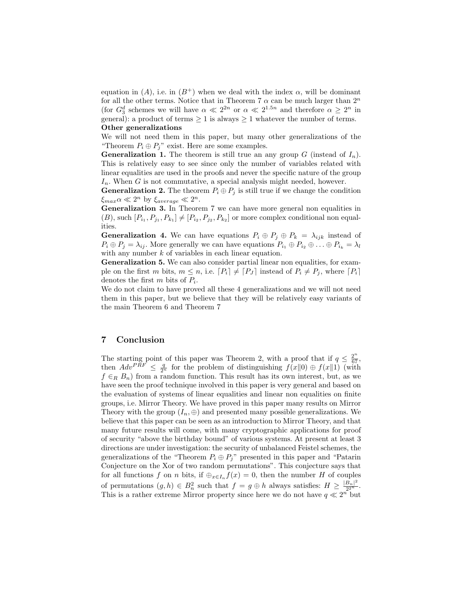equation in (A), i.e. in  $(B^+)$  when we deal with the index  $\alpha$ , will be dominant for all the other terms. Notice that in Theorem 7  $\alpha$  can be much larger than  $2^n$ (for  $G_3^d$  schemes we will have  $\alpha \ll 2^{2n}$  or  $\alpha \ll 2^{1.5n}$  and therefore  $\alpha \geq 2^n$  in general): a product of terms  $\geq 1$  is always  $\geq 1$  whatever the number of terms. Other generalizations

We will not need them in this paper, but many other generalizations of the "Theorem  $P_i \oplus P_j$ " exist. Here are some examples.

**Generalization 1.** The theorem is still true an any group G (instead of  $I_n$ ). This is relatively easy to see since only the number of variables related with linear equalities are used in the proofs and never the specific nature of the group  $I_n$ . When G is not commutative, a special analysis might needed, however.

**Generalization 2.** The theorem  $P_i \oplus P_j$  is still true if we change the condition  $\xi_{max} \alpha \ll 2^n$  by  $\xi_{average} \ll 2^n$ .

Generalization 3. In Theorem 7 we can have more general non equalities in  $(B)$ , such  $[P_{i_1}, P_{j_1}, P_{k_1}] \neq [P_{i_2}, P_{j_2}, P_{k_2}]$  or more complex conditional non equalities.

**Generalization 4.** We can have equations  $P_i \oplus P_j \oplus P_k = \lambda_{ijk}$  instead of  $P_i \oplus P_j = \lambda_{ij}$ . More generally we can have equations  $P_{i_1} \oplus P_{i_2} \oplus \ldots \oplus P_{i_k} = \lambda_k$ with any number  $k$  of variables in each linear equation.

Generalization 5. We can also consider partial linear non equalities, for example on the first m bits,  $m \leq n$ , i.e.  $[P_i] \neq [P_J]$  instead of  $P_i \neq P_j$ , where  $[P_i]$ denotes the first  $m$  bits of  $P_i$ .

We do not claim to have proved all these 4 generalizations and we will not need them in this paper, but we believe that they will be relatively easy variants of the main Theorem 6 and Theorem 7

### 7 Conclusion

The starting point of this paper was Theorem 2, with a proof that if  $q \leq \frac{2^n}{67}$ , then  $Adv^{PRF} \leq \frac{q}{2^n}$  for the problem of distinguishing  $f(x||0) \oplus f(x||1)$  (with  $f \in_R B_n$ ) from a random function. This result has its own interest, but, as we have seen the proof technique involved in this paper is very general and based on the evaluation of systems of linear equalities and linear non equalities on finite groups, i.e. Mirror Theory. We have proved in this paper many results on Mirror Theory with the group  $(I_n, \oplus)$  and presented many possible generalizations. We believe that this paper can be seen as an introduction to Mirror Theory, and that many future results will come, with many cryptographic applications for proof of security "above the birthday bound" of various systems. At present at least 3 directions are under investigation: the security of unbalanced Feistel schemes, the generalizations of the "Theorem  $P_i \oplus P_j$ " presented in this paper and "Patarin Conjecture on the Xor of two random permutations". This conjecture says that for all functions f on n bits, if  $\bigoplus_{x \in I_n} f(x) = 0$ , then the number H of couples of permutations  $(g, h) \in B_n^2$  such that  $f = g \oplus h$  always satisfies:  $H \geq \frac{|B_n|^2}{2^{2n}}$  $rac{B_n|}{2^{2^n}}$ . This is a rather extreme Mirror property since here we do not have  $q \ll 2^n$  but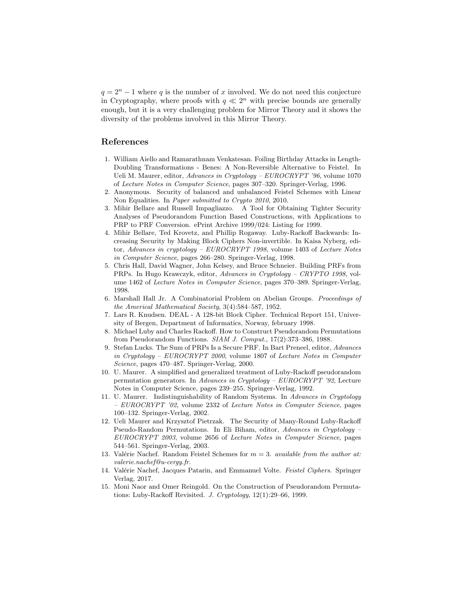$q = 2<sup>n</sup> - 1$  where q is the number of x involved. We do not need this conjecture in Cryptography, where proofs with  $q \ll 2^n$  with precise bounds are generally enough, but it is a very challenging problem for Mirror Theory and it shows the diversity of the problems involved in this Mirror Theory.

### References

- 1. William Aiello and Ramarathnam Venkatesan. Foiling Birthday Attacks in Length-Doubling Transformations - Benes: A Non-Reversible Alternative to Feistel. In Ueli M. Maurer, editor, Advances in Cryptology – EUROCRYPT '96, volume 1070 of Lecture Notes in Computer Science, pages 307–320. Springer-Verlag, 1996.
- 2. Anonymous. Security of balanced and unbalanced Feistel Schemes with Linear Non Equalities. In Paper submitted to Crypto 2010, 2010.
- 3. Mihir Bellare and Russell Impagliazzo. A Tool for Obtaining Tighter Security Analyses of Pseudorandom Function Based Constructions, with Applications to PRP to PRF Conversion. ePrint Archive 1999/024: Listing for 1999.
- 4. Mihir Bellare, Ted Krovetz, and Phillip Rogaway. Luby-Rackoff Backwards: Increasing Security by Making Block Ciphers Non-invertible. In Kaisa Nyberg, editor, Advances in cryptology – EUROCRYPT 1998, volume 1403 of Lecture Notes in Computer Science, pages 266–280. Springer-Verlag, 1998.
- 5. Chris Hall, David Wagner, John Kelsey, and Bruce Schneier. Building PRFs from PRPs. In Hugo Krawczyk, editor, Advances in Cryptology – CRYPTO 1998, volume 1462 of Lecture Notes in Computer Science, pages 370–389. Springer-Verlag, 1998.
- 6. Marshall Hall Jr. A Combinatorial Problem on Abelian Groups. Proceedings of the Americal Mathematical Society, 3(4):584–587, 1952.
- 7. Lars R. Knudsen. DEAL A 128-bit Block Cipher. Technical Report 151, University of Bergen, Department of Informatics, Norway, february 1998.
- 8. Michael Luby and Charles Rackoff. How to Construct Pseudorandom Permutations from Pseudorandom Functions. SIAM J. Comput., 17(2):373–386, 1988.
- 9. Stefan Lucks. The Sum of PRPs Is a Secure PRF. In Bart Preneel, editor, Advances in Cryptology – EUROCRYPT 2000, volume 1807 of Lecture Notes in Computer Science, pages 470–487. Springer-Verlag, 2000.
- 10. U. Maurer. A simplified and generalized treatment of Luby-Rackoff pseudorandom permutation generators. In Advances in Cryptology – EUROCRYPT '92, Lecture Notes in Computer Science, pages 239–255. Springer-Verlag, 1992.
- 11. U. Maurer. Indistinguishability of Random Systems. In Advances in Cryptology – EUROCRYPT '02, volume 2332 of Lecture Notes in Computer Science, pages 100–132. Springer-Verlag, 2002.
- 12. Ueli Maurer and Krzysztof Pietrzak. The Security of Many-Round Luby-Rackoff Pseudo-Random Permutations. In Eli Biham, editor, Advances in Cryptology – EUROCRYPT 2003, volume 2656 of Lecture Notes in Computer Science, pages 544–561. Springer-Verlag, 2003.
- 13. Valérie Nachef. Random Feistel Schemes for  $m = 3$ . available from the author at: valerie.nachef@u-cergy.fr.
- 14. Valérie Nachef, Jacques Patarin, and Emmanuel Volte. Feistel Ciphers. Springer Verlag, 2017.
- 15. Moni Naor and Omer Reingold. On the Construction of Pseudorandom Permutations: Luby-Rackoff Revisited. J. Cryptology, 12(1):29–66, 1999.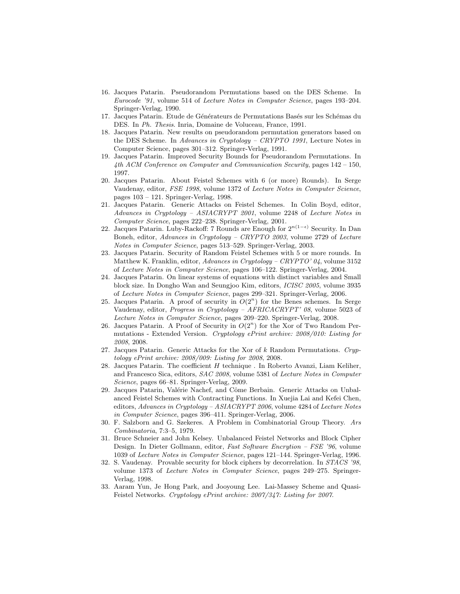- 16. Jacques Patarin. Pseudorandom Permutations based on the DES Scheme. In Eurocode '91, volume 514 of Lecture Notes in Computer Science, pages 193–204. Springer-Verlag, 1990.
- 17. Jacques Patarin. Etude de Générateurs de Permutations Basés sur les Schémas du DES. In Ph. Thesis. Inria, Domaine de Voluceau, France, 1991.
- 18. Jacques Patarin. New results on pseudorandom permutation generators based on the DES Scheme. In Advances in Cryptology – CRYPTO 1991, Lecture Notes in Computer Science, pages 301–312. Springer-Verlag, 1991.
- 19. Jacques Patarin. Improved Security Bounds for Pseudorandom Permutations. In 4th ACM Conference on Computer and Communication Security, pages 142 – 150, 1997.
- 20. Jacques Patarin. About Feistel Schemes with 6 (or more) Rounds). In Serge Vaudenay, editor, FSE 1998, volume 1372 of Lecture Notes in Computer Science, pages 103 – 121. Springer-Verlag, 1998.
- 21. Jacques Patarin. Generic Attacks on Feistel Schemes. In Colin Boyd, editor, Advances in Cryptology – ASIACRYPT 2001, volume 2248 of Lecture Notes in Computer Science, pages 222–238. Springer-Verlag, 2001.
- 22. Jacques Patarin. Luby-Rackoff: 7 Rounds are Enough for  $2^{n(1-\epsilon)}$  Security. In Dan Boneh, editor, Advances in Cryptology – CRYPTO 2003, volume 2729 of Lecture Notes in Computer Science, pages 513–529. Springer-Verlag, 2003.
- 23. Jacques Patarin. Security of Random Feistel Schemes with 5 or more rounds. In Matthew K. Franklin, editor, Advances in Cryptology – CRYPTO' 04, volume 3152 of Lecture Notes in Computer Science, pages 106–122. Springer-Verlag, 2004.
- 24. Jacques Patarin. On linear systems of equations with distinct variables and Small block size. In Dongho Wan and Seungjoo Kim, editors, ICISC 2005, volume 3935 of Lecture Notes in Computer Science, pages 299–321. Springer-Verlag, 2006.
- 25. Jacques Patarin. A proof of security in  $O(2^n)$  for the Benes schemes. In Serge Vaudenay, editor, Progress in Cryptology – AFRICACRYPT' 08, volume 5023 of Lecture Notes in Computer Science, pages 209–220. Springer-Verlag, 2008.
- 26. Jacques Patarin. A Proof of Security in  $O(2^n)$  for the Xor of Two Random Permutations - Extended Version. Cryptology ePrint archive: 2008/010: Listing for 2008, 2008.
- 27. Jacques Patarin. Generic Attacks for the Xor of  $k$  Random Permutations. Cryptology ePrint archive: 2008/009: Listing for 2008, 2008.
- 28. Jacques Patarin. The coefficient  $H$  technique . In Roberto Avanzi, Liam Keliher, and Francesco Sica, editors, SAC 2008, volume 5381 of Lecture Notes in Computer Science, pages 66–81. Springer-Verlag, 2009.
- 29. Jacques Patarin, Valérie Nachef, and Côme Berbain. Generic Attacks on Unbalanced Feistel Schemes with Contracting Functions. In Xuejia Lai and Kefei Chen, editors, Advances in Cryptology – ASIACRYPT 2006, volume 4284 of Lecture Notes in Computer Science, pages 396–411. Springer-Verlag, 2006.
- 30. F. Salzborn and G. Szekeres. A Problem in Combinatorial Group Theory. Ars Combinatoria, 7:3–5, 1979.
- 31. Bruce Schneier and John Kelsey. Unbalanced Feistel Networks and Block Cipher Design. In Dieter Gollmann, editor, Fast Software Encrytion – FSE '96, volume 1039 of Lecture Notes in Computer Science, pages 121–144. Springer-Verlag, 1996.
- 32. S. Vaudenay. Provable security for block ciphers by decorrelation. In STACS '98, volume 1373 of Lecture Notes in Computer Science, pages 249–275. Springer-Verlag, 1998.
- 33. Aaram Yun, Je Hong Park, and Jooyoung Lee. Lai-Massey Scheme and Quasi-Feistel Networks. Cryptology ePrint archive: 2007/347: Listing for 2007.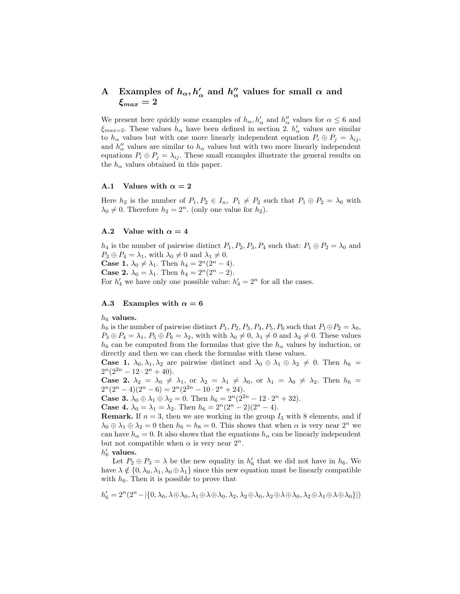#### A Examples of  $h_{\alpha}, h_{\alpha}'$  and  $h_{\alpha}''$  $\frac{\prime\prime}{\alpha}$  values for small  $\alpha$  and  $\xi_{max}=2$

We present here quickly some examples of  $h_{\alpha}, h'_{\alpha}$  and  $h''_{\alpha}$  values for  $\alpha \leq 6$  and  $\xi_{max=2}$ . These values  $h_{\alpha}$  have been defined in section 2.  $h'_{\alpha}$  values are similar to  $h_{\alpha}$  values but with one more linearly independent equation  $P_i \oplus P_j = \lambda_{ij}$ , and  $h''_{\alpha}$  values are similar to  $h_{\alpha}$  values but with two more linearly independent equations  $P_i \oplus P_j = \lambda_{ij}$ . These small examples illustrate the general results on the  $h_{\alpha}$  values obtained in this paper.

#### A.1 Values with  $\alpha = 2$

Here  $h_2$  is the number of  $P_1, P_2 \in I_n$ ,  $P_1 \neq P_2$  such that  $P_1 \oplus P_2 = \lambda_0$  with  $\lambda_0 \neq 0$ . Therefore  $h_2 = 2^n$ . (only one value for  $h_2$ ).

#### A.2 Value with  $\alpha = 4$

 $h_4$  is the number of pairwise distinct  $P_1, P_2, P_3, P_4$  such that:  $P_1 \oplus P_2 = \lambda_0$  and  $P_3 \oplus P_4 = \lambda_1$ , with  $\lambda_0 \neq 0$  and  $\lambda_1 \neq 0$ . **Case 1.**  $\lambda_0 \neq \lambda_1$ . Then  $h_4 = 2^n(2^n - 4)$ . **Case 2.**  $\lambda_0 = \lambda_1$ . Then  $h_4 = 2^n(2^n - 2)$ . For  $h'_4$  we have only one possible value:  $h'_4 = 2^n$  for all the cases.

#### A.3 Examples with  $\alpha = 6$

 $h_6$  values.

 $h_6$  is the number of pairwise distinct  $P_1$ ,  $P_2$ ,  $P_3$ ,  $P_4$ ,  $P_5$ ,  $P_6$  such that  $P_1 \oplus P_2 = \lambda_0$ ,  $P_3 \oplus P_4 = \lambda_1, P_5 \oplus P_6 = \lambda_2$ , with with  $\lambda_0 \neq 0, \lambda_1 \neq 0$  and  $\lambda_2 \neq 0$ . These values  $h_6$  can be computed from the formulas that give the  $h_\alpha$  values by induction, or directly and then we can check the formulas with these values.

**Case 1.**  $\lambda_0, \lambda_1, \lambda_2$  are pairwise distinct and  $\lambda_0 \oplus \lambda_1 \oplus \lambda_2 \neq 0$ . Then  $h_6 =$  $2^{n}(2^{2n}-12\cdot 2^{n}+40).$ 

**Case 2.**  $\lambda_2 = \lambda_0 \neq \lambda_1$ , or  $\lambda_2 = \lambda_1 \neq \lambda_0$ , or  $\lambda_1 = \lambda_0 \neq \lambda_2$ . Then  $h_6 =$  $2^{n}(2^{n}-4)(2^{n}-6) = 2^{n}(2^{2n}-10\cdot 2^{n}+24).$ 

**Case 3.**  $\lambda_0 \oplus \lambda_1 \oplus \lambda_2 = 0$ . Then  $h_6 = 2^n(2^{2n} - 12 \cdot 2^n + 32)$ .

**Case 4.**  $\lambda_0 = \lambda_1 = \lambda_2$ . Then  $h_6 = 2^n(2^n - 2)(2^n - 4)$ .

**Remark.** If  $n = 3$ , then we are working in the group  $I_3$  with 8 elements, and if  $\lambda_0 \oplus \lambda_1 \oplus \lambda_2 = 0$  then  $h_6 = h_8 = 0$ . This shows that when  $\alpha$  is very near  $2^n$  we can have  $h_{\alpha} = 0$ . It also shows that the equations  $h_{\alpha}$  can be linearly independent but not compatible when  $\alpha$  is very near  $2^n$ .

 $h'_6$  values.

Let  $P_2 \oplus P_3 = \lambda$  be the new equality in  $h'_6$  that we did not have in  $h_6$ . We have  $\lambda \notin \{0, \lambda_0, \lambda_1, \lambda_0 \oplus \lambda_1\}$  since this new equation must be linearly compatible with  $h_6$ . Then it is possible to prove that

$$
h'_6=2^n(2^n-|\{0,\lambda_0,\lambda \oplus \lambda_0,\lambda_1 \oplus \lambda \oplus \lambda_0,\lambda_2,\lambda_2 \oplus \lambda_0,\lambda_2 \oplus \lambda \oplus \lambda_0,\lambda_2 \oplus \lambda_1 \oplus \lambda \oplus \lambda_0\}|)
$$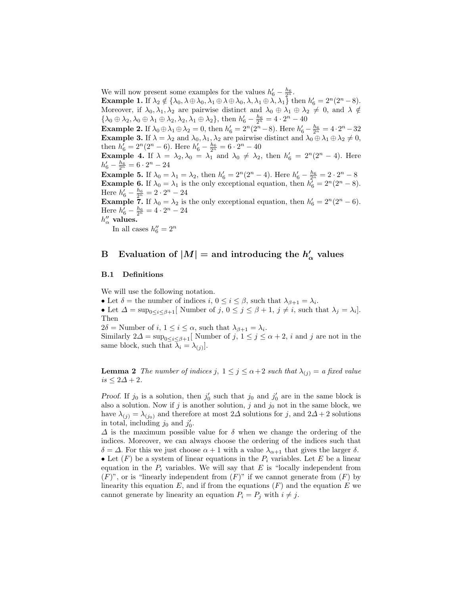We will now present some examples for the values  $h'_6 - \frac{h_6}{2^n}$ . **Example 1.** If  $\lambda_2 \notin \{\lambda_0, \lambda \oplus \lambda_0, \lambda_1 \oplus \lambda \oplus \lambda_0, \lambda, \lambda_1 \oplus \lambda, \lambda_1 \}$  then  $h'_6 = 2^n(2^n - 8)$ . Moreover, if  $\lambda_0, \lambda_1, \lambda_2$  are pairwise distinct and  $\lambda_0 \oplus \lambda_1 \oplus \lambda_2 \neq 0$ , and  $\lambda \notin$  $\{\lambda_0 \oplus \lambda_2, \lambda_0 \oplus \lambda_1 \oplus \lambda_2, \lambda_2, \lambda_1 \oplus \lambda_2\},\$  then  $h'_6 - \frac{h_6}{2^n} = 4 \cdot 2^n - 40$ Example 2. If  $\lambda_0 \oplus \lambda_1 \oplus \lambda_2 = 0$ , then  $h'_6 = 2^n(2^n - 8)$ . Here  $h'_6 - \frac{h_6}{2^n} = 4 \cdot 2^n - 32$ **Example 3.** If  $\lambda = \lambda_2$  and  $\lambda_0, \lambda_1, \lambda_2$  are pairwise distinct and  $\lambda_0 \oplus \lambda_1 \oplus \lambda_2 \neq 0$ , then  $h'_6 = 2^n(2^n - 6)$ . Here  $h'_6 - \frac{h_6}{2^n} = 6 \cdot 2^n - 40$ **Example 4.** If  $\lambda = \lambda_2, \lambda_0 = \lambda_1$  and  $\lambda_0 \neq \lambda_2$ , then  $h'_6 = 2^n(2^n - 4)$ . Here  $h'_6 - \frac{h_6}{2^n} = 6 \cdot 2^n - 24$ **Example 5.** If  $\lambda_0 = \lambda_1 = \lambda_2$ , then  $h'_6 = 2^n(2^n - 4)$ . Here  $h'_6 - \frac{h_6}{2^n} = 2 \cdot 2^n - 8$ **Example 6.** If  $\lambda_0 = \lambda_1$  is the only exceptional equation, then  $h_6^7 = 2^n(2^n - 8)$ . Here  $h'_6 - \frac{h_6}{2^n} = 2 \cdot 2^n - 24$ 

**Example 7.** If  $\lambda_0 = \lambda_2$  is the only exceptional equation, then  $h'_6 = 2^n(2^n - 6)$ . Here  $h'_6 - \frac{h_6}{2^n} = 4 \cdot 2^n - 24$ 

 $h''_{\alpha}$  values.

In all cases  $h_6'' = 2^n$ 

#### B Evaluation of  $|M| =$  and introducing the  $h'$ .  $\alpha'$  values

#### B.1 Definitions

We will use the following notation.

• Let  $\delta$  = the number of indices  $i, 0 \leq i \leq \beta$ , such that  $\lambda_{\beta+1} = \lambda_i$ .

• Let  $\Delta = \sup_{0 \le i \le \beta+1}$  Number of  $j, 0 \le j \le \beta+1, j \ne i$ , such that  $\lambda_j = \lambda_i$ . Then

 $2\delta$  = Number of *i*,  $1 \leq i \leq \alpha$ , such that  $\lambda_{\beta+1} = \lambda_i$ .

Similarly  $2\Delta = \sup_{0 \le i \le \beta+1}$  Number of  $j, 1 \le j \le \alpha+2$ , i and j are not in the same block, such that  $\lambda_i = \lambda_{(j)}$ .

**Lemma 2** The number of indices j,  $1 \leq j \leq \alpha+2$  such that  $\lambda_{(j)} = a$  fixed value  $is \leq 2\Delta + 2$ .

Proof. If  $j_0$  is a solution, then  $j'_0$  such that  $j_0$  and  $j'_0$  are in the same block is also a solution. Now if j is another solution, j and  $j_0$  not in the same block, we have  $\lambda_{(j)} = \lambda_{(j_0)}$  and therefore at most 2 $\Delta$  solutions for j, and 2 $\Delta + 2$  solutions in total, including  $j_0$  and  $j'_0$ .

 $\Delta$  is the maximum possible value for  $\delta$  when we change the ordering of the indices. Moreover, we can always choose the ordering of the indices such that  $\delta = \Delta$ . For this we just choose  $\alpha + 1$  with a value  $\lambda_{\alpha+1}$  that gives the larger  $\delta$ . • Let  $(F)$  be a system of linear equations in the  $P_i$  variables. Let E be a linear equation in the  $P_i$  variables. We will say that E is "locally independent from  $(F)$ ", or is "linearly independent from  $(F)$ " if we cannot generate from  $(F)$  by linearity this equation  $E$ , and if from the equations  $(F)$  and the equation  $E$  we cannot generate by linearity an equation  $P_i = P_j$  with  $i \neq j$ .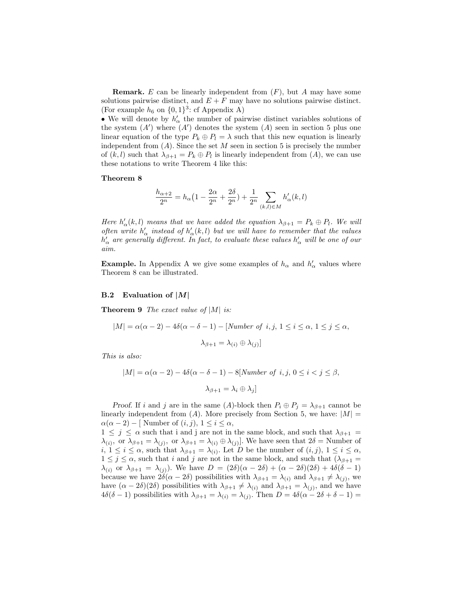**Remark.** E can be linearly independent from  $(F)$ , but A may have some solutions pairwise distinct, and  $E + F$  may have no solutions pairwise distinct. (For example  $h_6$  on  $\{0, 1\}^3$ : cf Appendix A)

• We will denote by  $h'_\n\alpha$  the number of pairwise distinct variables solutions of the system  $(A')$  where  $(A')$  denotes the system  $(A)$  seen in section 5 plus one linear equation of the type  $P_k \oplus P_l = \lambda$  such that this new equation is linearly independent from  $(A)$ . Since the set M seen in section 5 is precisely the number of  $(k, l)$  such that  $\lambda_{\beta+1} = P_k \oplus P_l$  is linearly independent from  $(A)$ , we can use these notations to write Theorem 4 like this:

#### Theorem 8

$$
\frac{h_{\alpha+2}}{2^n} = h_{\alpha} \left( 1 - \frac{2\alpha}{2^n} + \frac{2\delta}{2^n} \right) + \frac{1}{2^n} \sum_{(k,l) \in M} h'_{\alpha}(k,l)
$$

Here  $h'_{\alpha}(k, l)$  means that we have added the equation  $\lambda_{\beta+1} = P_k \oplus P_l$ . We will often write  $h'_\alpha$  instead of  $h'_\alpha(k, l)$  but we will have to remember that the values  $h'_\alpha$  are generally different. In fact, to evaluate these values  $h'_\alpha$  will be one of our aim.

**Example.** In Appendix A we give some examples of  $h_{\alpha}$  and  $h'_{\alpha}$  values where Theorem 8 can be illustrated.

#### **B.2** Evaluation of  $|M|$

**Theorem 9** The exact value of  $|M|$  is:

$$
|M| = \alpha(\alpha - 2) - 4\delta(\alpha - \delta - 1) - [Number of i, j, 1 \le i \le \alpha, 1 \le j \le \alpha,
$$
  

$$
\lambda_{\beta+1} = \lambda_{(i)} \oplus \lambda_{(j)}]
$$

This is also:

$$
|M| = \alpha(\alpha - 2) - 4\delta(\alpha - \delta - 1) - 8[Number \ of \ i, j, 0 \le i < j \le \beta,
$$
  

$$
\lambda_{\beta+1} = \lambda_i \oplus \lambda_j]
$$

Proof. If i and j are in the same (A)-block then  $P_i \oplus P_j = \lambda_{\beta+1}$  cannot be linearly independent from  $(A)$ . More precisely from Section 5, we have:  $|M|$  $\alpha(\alpha-2)$  – [ Number of  $(i, j)$ ,  $1 \leq i \leq \alpha$ ,

 $1 \leq j \leq \alpha$  such that i and j are not in the same block, and such that  $\lambda_{\beta+1} =$  $\lambda_{(i)}$ , or  $\lambda_{\beta+1} = \lambda_{(j)}$ , or  $\lambda_{\beta+1} = \lambda_{(i)} \oplus \lambda_{(j)}$ . We have seen that  $2\delta =$  Number of  $i, 1 \leq i \leq \alpha$ , such that  $\lambda_{\beta+1} = \lambda_{(i)}$ . Let D be the number of  $(i, j)$ ,  $1 \leq i \leq \alpha$ ,  $1 \leq j \leq \alpha$ , such that i and j are not in the same block, and such that  $(\lambda_{\beta+1} =$  $\lambda_{(i)}$  or  $\lambda_{\beta+1} = \lambda_{(i)}$ . We have  $D = (2\delta)(\alpha - 2\delta) + (\alpha - 2\delta)(2\delta) + 4\delta(\delta - 1)$ because we have  $2\delta(\alpha - 2\delta)$  possibilities with  $\lambda_{\beta+1} = \lambda_{(i)}$  and  $\lambda_{\beta+1} \neq \lambda_{(j)}$ , we have  $(\alpha - 2\delta)(2\delta)$  possibilities with  $\lambda_{\beta+1} \neq \lambda_{(i)}$  and  $\lambda_{\beta+1} = \lambda_{(j)}$ , and we have  $4\delta(\delta - 1)$  possibilities with  $\lambda_{\beta+1} = \lambda_{(i)} = \lambda_{(j)}$ . Then  $D = 4\delta(\alpha - 2\delta + \delta - 1) =$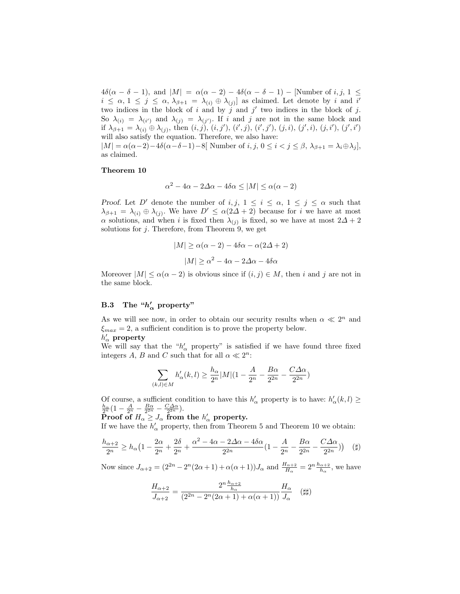$4\delta(\alpha - \delta - 1)$ , and  $|M| = \alpha(\alpha - 2) - 4\delta(\alpha - \delta - 1)$  – [Number of i, j,  $1 \leq$  $i \leq \alpha, 1 \leq j \leq \alpha, \lambda_{\beta+1} = \lambda_{(i)} \oplus \lambda_{(j)}$  as claimed. Let denote by i and i' two indices in the block of i and by  $\tilde{j}$  and j' two indices in the block of j. So  $\lambda_{(i)} = \lambda_{(i')}$  and  $\lambda_{(j)} = \lambda_{(j')}$ . If i and j are not in the same block and if  $\lambda_{\beta+1} = \lambda_{(i)} \oplus \lambda_{(j)}$ , then  $(i, j)$ ,  $(i, j')$ ,  $(i', j)$ ,  $(i', j')$ ,  $(j, i)$ ,  $(j', i)$ ,  $(j, i')$ ,  $(j', i')$ will also satisfy the equation. Therefore, we also have:  $|M| = \alpha(\alpha-2)-4\delta(\alpha-\delta-1)-8|$  Number of  $i, j, 0 \leq i < j \leq \beta$ ,  $\lambda_{\beta+1} = \lambda_i \oplus \lambda_j$ ,

Theorem 10

as claimed.

$$
\alpha^2 - 4\alpha - 2\Delta\alpha - 4\delta\alpha \le |M| \le \alpha(\alpha - 2)
$$

Proof. Let D' denote the number of i, j,  $1 \leq i \leq \alpha$ ,  $1 \leq j \leq \alpha$  such that  $\lambda_{\beta+1} = \lambda_{(i)} \oplus \lambda_{(j)}$ . We have  $D' \leq \alpha(2\Delta + 2)$  because for i we have at most  $\alpha$  solutions, and when i is fixed then  $\lambda_{(j)}$  is fixed, so we have at most  $2\Delta + 2$ solutions for  $j$ . Therefore, from Theorem 9, we get

$$
|M| \ge \alpha(\alpha - 2) - 4\delta\alpha - \alpha(2\Delta + 2)
$$

$$
|M| \ge \alpha^2 - 4\alpha - 2\Delta\alpha - 4\delta\alpha
$$

Moreover  $|M| \leq \alpha(\alpha - 2)$  is obvious since if  $(i, j) \in M$ , then i and j are not in the same block.

## B.3 The " $h'_\alpha$  property"

As we will see now, in order to obtain our security results when  $\alpha \ll 2^n$  and  $\xi_{max} = 2$ , a sufficient condition is to prove the property below.  $h'_\alpha$  property

We will say that the " $h'_{\alpha}$  property" is satisfied if we have found three fixed integers A, B and C such that for all  $\alpha \ll 2^n$ :

$$
\sum_{(k,l)\in M}h'_{\alpha}(k,l)\geq \frac{h_{\alpha}}{2^n}|M|(1-\frac{A}{2^n}-\frac{B\alpha}{2^{2n}}-\frac{C\varDelta\alpha}{2^{2n}})
$$

Of course, a sufficient condition to have this  $h'_\alpha$  property is to have:  $h'_\alpha(k, l) \geq$  $\frac{h_{\alpha}}{2^n}\left(1-\frac{A}{2^n}-\frac{B\alpha}{2^{2n}}-\frac{C\Delta\alpha}{2^{2n}}\right).$ 

Proof of  $H_{\alpha} \geq J_{\alpha}$  from the  $h'_{\alpha}$  property.

If we have the  $h'_\alpha$  property, then from Theorem 5 and Theorem 10 we obtain:

$$
\frac{h_{\alpha+2}}{2^n} \ge h_{\alpha} \left( 1 - \frac{2\alpha}{2^n} + \frac{2\delta}{2^n} + \frac{\alpha^2 - 4\alpha - 2\Delta\alpha - 4\delta\alpha}{2^{2n}} \left( 1 - \frac{A}{2^n} - \frac{B\alpha}{2^{2n}} - \frac{C\Delta\alpha}{2^{2n}} \right) \right) \quad (\sharp)
$$

Now since  $J_{\alpha+2} = (2^{2n} - 2^n(2\alpha + 1) + \alpha(\alpha + 1))J_\alpha$  and  $\frac{H_{\alpha+2}}{H_\alpha} = 2^n \frac{h_{\alpha+2}}{h_\alpha}$ , we have

$$
\frac{H_{\alpha+2}}{J_{\alpha+2}}=\frac{2^n\frac{h_{\alpha+2}}{h_\alpha}}{(2^{2n}-2^n(2\alpha+1)+\alpha(\alpha+1))}\frac{H_\alpha}{J_\alpha}\quad \ (\sharp\sharp)
$$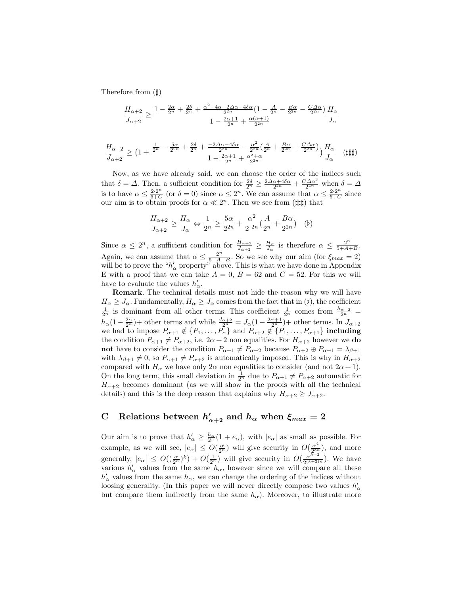Therefore from  $(\sharp)$ 

$$
\frac{H_{\alpha+2}}{J_{\alpha+2}} \ge \frac{1 - \frac{2\alpha}{2^n} + \frac{2\delta}{2^n} + \frac{\alpha^2 - 4\alpha - 2\Delta\alpha - 4\delta\alpha}{2^{2n}}(1 - \frac{A}{2^n} - \frac{B\alpha}{2^{2n}} - \frac{C\Delta\alpha}{2^{2n}})}{1 - \frac{2\alpha + 1}{2^n} + \frac{\alpha(\alpha + 1)}{2^{2n}}} \frac{H_{\alpha}}{J_{\alpha}}
$$

$$
\frac{H_{\alpha+2}}{J_{\alpha+2}} \ge \left(1 + \frac{\frac{1}{2^n} - \frac{5\alpha}{2^{2n}} + \frac{2\delta}{2^n} + \frac{-2\Delta\alpha - 4\delta\alpha}{2^{2n}} - \frac{\alpha^2}{2^{2n}}\left(\frac{A}{2^n} + \frac{B\alpha}{2^{2n}} + \frac{C\Delta\alpha}{2^{2n}}\right)}{1 - \frac{2\alpha + 1}{2^n} + \frac{\alpha^2 + \alpha}{2^{2n}}} \right) \frac{H_\alpha}{J_\alpha} \quad (\sharp\sharp\sharp)
$$

Now, as we have already said, we can choose the order of the indices such that  $\delta = \Delta$ . Then, a sufficient condition for  $\frac{2\delta}{2^n} \ge \frac{2\Delta\alpha + 4\delta\alpha}{2^{2n}} + \frac{C\Delta\alpha^3}{2^{4n}}$  when  $\delta = \Delta$ is to have  $\alpha \leq \frac{2 \cdot 2^n}{6+C}$  $\frac{2 \cdot 2^n}{6+C}$  (or  $\delta = 0$ ) since  $\alpha \leq 2^n$ . We can assume that  $\alpha \leq \frac{2 \cdot 2^n}{6+C}$  $rac{2\cdot2^{n}}{6+C}$  since our aim is to obtain proofs for  $\alpha \ll 2^n$ . Then we see from ( $\sharp\sharp\sharp$ ) that

$$
\frac{H_{\alpha+2}}{J_{\alpha+2}} \ge \frac{H_{\alpha}}{J_{\alpha}} \Leftrightarrow \frac{1}{2^n} \ge \frac{5\alpha}{2^{2n}} + \frac{\alpha^2}{2^{2n}} \left(\frac{A}{2^n} + \frac{B\alpha}{2^{2n}}\right) \quad (b)
$$

Since  $\alpha \leq 2^n$ , a sufficient condition for  $\frac{H_{\alpha+2}}{J_{\alpha+2}} \geq \frac{H_{\alpha}}{J_{\alpha}}$  is therefore  $\alpha \leq \frac{2^n}{5+A}$ .  $\frac{2^n}{5+A+B}$ Again, we can assume that  $\alpha \leq \frac{2^n}{5+4}$ .  $\frac{2^{n}}{5+A+B}$ . So we see why our aim (for  $\xi_{max}=2$ ) will be to prove the " $h'_\alpha$  property" above. This is what we have done in Appendix E with a proof that we can take  $A = 0$ ,  $B = 62$  and  $C = 52$ . For this we will have to evaluate the values  $h'_\n\alpha$ .

Remark. The technical details must not hide the reason why we will have  $H_{\alpha} \geq J_{\alpha}$ . Fundamentally,  $H_{\alpha} \geq J_{\alpha}$  comes from the fact that in (b), the coefficient  $\frac{1}{2^n}$  is dominant from all other terms. This coefficient  $\frac{1}{2^n}$  comes from  $\frac{h_{\alpha+2}}{2^n}$  =  $h_{\alpha}(1-\frac{2\alpha}{2^n})+$  other terms and while  $\frac{J_{\alpha+2}}{2^n}=J_{\alpha}(1-\frac{2\alpha+1}{2^n})+$  other terms. In  $J_{\alpha+2}$ we had to impose  $P_{\alpha+1} \notin \{P_1, \ldots, P_{\alpha}\}\$  and  $P_{\alpha+2} \notin \{P_1, \ldots, P_{\alpha+1}\}\$  including the condition  $P_{\alpha+1} \neq P_{\alpha+2}$ , i.e.  $2\alpha + 2$  non equalities. For  $H_{\alpha+2}$  however we **do** not have to consider the condition  $P_{\alpha+1} \neq P_{\alpha+2}$  because  $P_{\alpha+2} \oplus P_{\alpha+1} = \lambda_{\beta+1}$ with  $\lambda_{\beta+1} \neq 0$ , so  $P_{\alpha+1} \neq P_{\alpha+2}$  is automatically imposed. This is why in  $H_{\alpha+2}$ compared with  $H_{\alpha}$  we have only  $2\alpha$  non equalities to consider (and not  $2\alpha + 1$ ). On the long term, this small deviation in  $\frac{1}{2^n}$  due to  $P_{\alpha+1} \neq P_{\alpha+2}$  automatic for  $H_{\alpha+2}$  becomes dominant (as we will show in the proofs with all the technical details) and this is the deep reason that explains why  $H_{\alpha+2} \geq J_{\alpha+2}$ .

# C Relations between  $h'_{\alpha+2}$  and  $h_{\alpha}$  when  $\xi_{max} = 2$

Our aim is to prove that  $h'_\alpha \geq \frac{h_\alpha}{2^n} (1 + e_\alpha)$ , with  $|e_\alpha|$  as small as possible. For example, as we will see,  $|e_{\alpha}| \leq O(\frac{\alpha}{2^n})$  will give security in  $O(\frac{\alpha^4}{2^{3n}})$  $\frac{\alpha^2}{2^{3n}}$ , and more generally,  $|e_{\alpha}| \leq O((\frac{\alpha}{2^n})^k) + O(\frac{1}{2^n})$  will give security in  $O(\frac{\alpha^{k+2}}{2^{(k+2)}})$  $\frac{\alpha^{k+2}}{2^{(k+2)n}}$ ). We have various  $h'_{\alpha}$  values from the same  $h_{\alpha}$ , however since we will compare all these  $h'_\n\alpha$  values from the same  $h_\alpha$ , we can change the ordering of the indices without loosing generality. (In this paper we will never directly compose two values  $h'_\alpha$ but compare them indirectly from the same  $h_{\alpha}$ ). Moreover, to illustrate more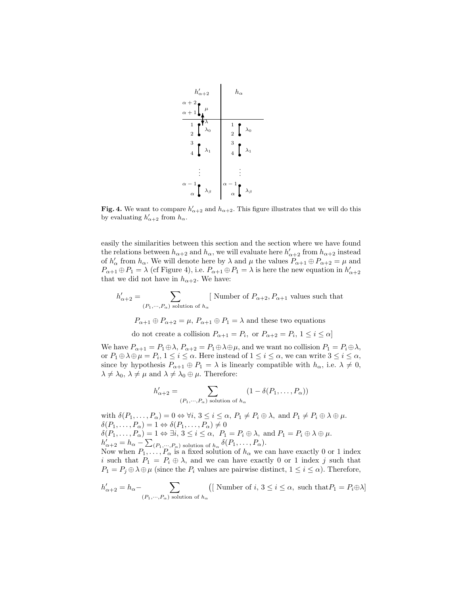

Fig. 4. We want to compare  $h'_{\alpha+2}$  and  $h_{\alpha+2}$ . This figure illustrates that we will do this by evaluating  $h'_{\alpha+2}$  from  $h_{\alpha}$ .

easily the similarities between this section and the section where we have found the relations between  $h_{\alpha+2}$  and  $h_{\alpha}$ , we will evaluate here  $h'_{\alpha+2}$  from  $h_{\alpha+2}$  instead of  $h'_\n\alpha$  from  $h_\alpha$ . We will denote here by  $\lambda$  and  $\mu$  the values  $P_{\alpha+1} \oplus P_{\alpha+2} = \mu$  and  $P_{\alpha+1}\oplus P_1=\lambda$  (cf Figure 4), i.e.  $P_{\alpha+1}\oplus P_1=\lambda$  is here the new equation in  $h'_{\alpha+2}$ that we did not have in  $h_{\alpha+2}$ . We have:

$$
h'_{\alpha+2} = \sum_{(P_1, \dots, P_{\alpha}) \text{ solution of } h_{\alpha}} \text{[ Number of } P_{\alpha+2}, P_{\alpha+1} \text{ values such that}
$$
  

$$
P_{\alpha+1} \oplus P_{\alpha+2} = \mu, P_{\alpha+1} \oplus P_1 = \lambda \text{ and these two equations}
$$

do not create a collision  $P_{\alpha+1} = P_i$ , or  $P_{\alpha+2} = P_i$ ,  $1 \leq i \leq \alpha$ 

We have  $P_{\alpha+1} = P_1 \oplus \lambda$ ,  $P_{\alpha+2} = P_1 \oplus \lambda \oplus \mu$ , and we want no collision  $P_1 = P_i \oplus \lambda$ , or  $P_1 \oplus \lambda \oplus \mu = P_i$ ,  $1 \leq i \leq \alpha$ . Here instead of  $1 \leq i \leq \alpha$ , we can write  $3 \leq i \leq \alpha$ , since by hypothesis  $P_{\alpha+1} \oplus P_1 = \lambda$  is linearly compatible with  $h_{\alpha}$ , i.e.  $\lambda \neq 0$ ,  $\lambda \neq \lambda_0, \, \lambda \neq \mu$  and  $\lambda \neq \lambda_0 \oplus \mu$ . Therefore:

$$
h'_{\alpha+2} = \sum_{(P_1, \cdots, P_{\alpha}) \text{ solution of } h_{\alpha}} (1 - \delta(P_1, \ldots, P_{\alpha}))
$$

with  $\delta(P_1, \ldots, P_\alpha) = 0 \Leftrightarrow \forall i, 3 \leq i \leq \alpha, P_1 \neq P_i \oplus \lambda$ , and  $P_1 \neq P_i \oplus \lambda \oplus \mu$ .  $\delta(P_1,\ldots,P_\alpha)=1 \Leftrightarrow \delta(P_1,\ldots,P_\alpha)\neq 0$  $\delta(P_1,\ldots,P_\alpha)=1 \Leftrightarrow \exists i,\ 3\leq i\leq \alpha,\ P_1=P_i\oplus \lambda, \text{ and } P_1=P_i\oplus \lambda \oplus \mu.$  $h'_{\alpha+2} = h_{\alpha} - \sum_{(P_1, \cdots, P_{\alpha}) \text{ solution of } h_{\alpha}} \delta(P_1, \ldots, P_{\alpha}).$ 

Now when  $P_1, \ldots, P_\alpha$  is a fixed solution of  $h_\alpha$  we can have exactly 0 or 1 index i such that  $P_1 = P_i \oplus \lambda$ , and we can have exactly 0 or 1 index j such that  $P_1 = P_j \oplus \lambda \oplus \mu$  (since the  $P_i$  values are pairwise distinct,  $1 \leq i \leq \alpha$ ). Therefore,

$$
h'_{\alpha+2} = h_{\alpha} - \sum_{(P_1, \cdots, P_{\alpha}) \text{ solution of } h_{\alpha}} \left( \left[ \text{ Number of } i, 3 \le i \le \alpha, \text{ such that} P_1 = P_i \oplus \lambda \right] \right)
$$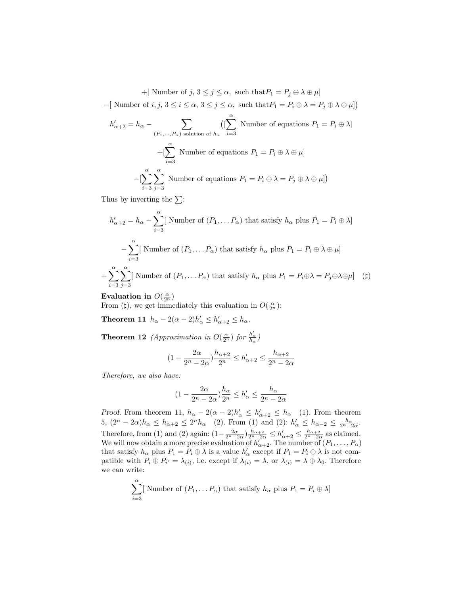+[ Number of  $j, 3 \leq j \leq \alpha$ , such that  $P_1 = P_j \oplus \lambda \oplus \mu$ ]  $-[$  Number of  $i, j, 3 \leq i \leq \alpha, 3 \leq j \leq \alpha$ , such that  $P_1 = P_i \oplus \lambda = P_j \oplus \lambda \oplus \mu]$ 

$$
h'_{\alpha+2} = h_{\alpha} - \sum_{(P_1, \dots, P_{\alpha}) \text{ solution of } h_{\alpha}} \left( [\sum_{i=3}^{\alpha} \text{ Number of equations } P_1 = P_i \oplus \lambda] \right)
$$

$$
+ [\sum_{i=3}^{\alpha} \text{ Number of equations } P_1 = P_i \oplus \lambda \oplus \mu]
$$

$$
- [\sum_{i=3}^{\alpha} \sum_{j=3}^{\alpha} \text{ Number of equations } P_1 = P_i \oplus \lambda = P_j \oplus \lambda \oplus \mu] )
$$

Thus by inverting the  $\Sigma$ :

$$
h'_{\alpha+2} = h_{\alpha} - \sum_{i=3}^{\alpha} \left[ \text{ Number of } (P_1, \dots P_{\alpha}) \text{ that satisfy } h_{\alpha} \text{ plus } P_1 = P_i \oplus \lambda \right]
$$

$$
- \sum_{i=3}^{\alpha} \left[ \text{ Number of } (P_1, \dots P_{\alpha}) \text{ that satisfy } h_{\alpha} \text{ plus } P_1 = P_i \oplus \lambda \oplus \mu \right]
$$

$$
+ \sum_{i=3}^{\alpha} \sum_{j=3}^{\alpha} \left[ \text{ Number of } (P_1, \dots P_{\alpha}) \text{ that satisfy } h_{\alpha} \text{ plus } P_1 = P_i \oplus \lambda = P_j \oplus \lambda \oplus \mu \right] \quad (\sharp)
$$

Evaluation in  $O(\frac{\alpha}{2^n})$ 

From (#), we get immediately this evaluation in  $O(\frac{\alpha}{2^n})$ :

Theorem 11  $h_{\alpha} - 2(\alpha - 2)h'_{\alpha} \leq h'_{\alpha+2} \leq h_{\alpha}$ .

**Theorem 12** (Approximation in  $O(\frac{\alpha}{2^n})$  for  $\frac{h'_\alpha}{h_\alpha}$ )

$$
(1-\frac{2\alpha}{2^n-2\alpha})\frac{h_{\alpha+2}}{2^n}\leq h'_{\alpha+2}\leq \frac{h_{\alpha+2}}{2^n-2\alpha}
$$

Therefore, we also have:

$$
(1 - \frac{2\alpha}{2^n - 2\alpha})\frac{h_{\alpha}}{2^n} \le h_{\alpha}' \le \frac{h_{\alpha}}{2^n - 2\alpha}
$$

*Proof.* From theorem 11,  $h_{\alpha} - 2(\alpha - 2)h'_{\alpha} \leq h'_{\alpha+2} \leq h_{\alpha}$  (1). From theorem 5,  $(2^{n} - 2\alpha)h_{\alpha} \leq h_{\alpha+2} \leq 2^{n}h_{\alpha}$  (2). From (1) and (2):  $h'_{\alpha} \leq h_{\alpha-2} \leq \frac{h_{\alpha}}{2^{n}-2\alpha}$ . Therefore, from (1) and (2) again:  $\left(1-\frac{2\alpha}{2^n-2\alpha}\right)\frac{h_{\alpha+2}}{2^n-2\alpha} \leq h'_{\alpha+2} \leq \frac{h_{\alpha+2}}{2^n-2\alpha}$  as claimed. We will now obtain a more precise evaluation of  $h_{\alpha+2}^{2\alpha}$ . The number of  $(P_1, \ldots, P_\alpha)$ that satisfy  $h_{\alpha}$  plus  $P_1 = P_i \oplus \lambda$  is a value  $h'_{\alpha}$  except if  $P_1 = P_i \oplus \lambda$  is not compatible with  $P_i \oplus P_{i'} = \lambda_{(i)}$ , i.e. except if  $\lambda_{(i)} = \lambda$ , or  $\lambda_{(i)} = \lambda \oplus \lambda_0$ . Therefore we can write:

$$
\sum_{i=3}^{\alpha} [ \text{ Number of } (P_1, \dots P_{\alpha}) \text{ that satisfy } h_{\alpha} \text{ plus } P_1 = P_i \oplus \lambda ]
$$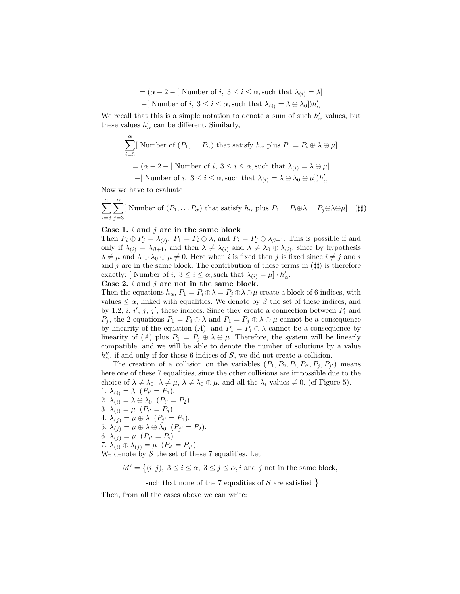$=(\alpha-2-[\text{ Number of } i, 3 \leq i \leq \alpha, \text{ such that } \lambda_{(i)} = \lambda]$ 

-[ Number of *i*, 
$$
3 \leq i \leq \alpha
$$
, such that  $\lambda_{(i)} = \lambda \oplus \lambda_0$ ]) $h'_\alpha$ 

We recall that this is a simple notation to denote a sum of such  $h'_\alpha$  values, but these values  $h'_\alpha$  can be different. Similarly,

$$
\sum_{i=3}^{\alpha} \left[ \text{ Number of } (P_1, \dots P_{\alpha}) \text{ that satisfy } h_{\alpha} \text{ plus } P_1 = P_i \oplus \lambda \oplus \mu \right]
$$

$$
= (\alpha - 2 - [\text{ Number of } i, 3 \le i \le \alpha, \text{ such that } \lambda_{(i)} = \lambda \oplus \mu]
$$

 $-[$  Number of  $i, 3 \leq i \leq \alpha$ , such that  $\lambda_{(i)} = \lambda \oplus \lambda_0 \oplus \mu]$ ) $h'_\alpha$ 

Now we have to evaluate

$$
\sum_{i=3}^{\alpha} \sum_{j=3}^{\alpha} \left[ \text{ Number of } (P_1, \dots P_\alpha) \text{ that satisfy } h_\alpha \text{ plus } P_1 = P_i \oplus \lambda = P_j \oplus \lambda \oplus \mu \right] \tag{\#}
$$

#### Case 1.  $i$  and  $j$  are in the same block

Then  $P_i \oplus P_j = \lambda_{(i)}$ ,  $P_1 = P_i \oplus \lambda$ , and  $P_i = P_j \oplus \lambda_{\beta+1}$ . This is possible if and only if  $\lambda_{(i)} = \lambda_{\beta+1}$ , and then  $\lambda \neq \lambda_{(i)}$  and  $\lambda \neq \lambda_0 \oplus \lambda_{(i)}$ , since by hypothesis  $\lambda \neq \mu$  and  $\lambda \oplus \lambda_0 \oplus \mu \neq 0$ . Here when i is fixed then j is fixed since  $i \neq j$  and i and j are in the same block. The contribution of these terms in  $(\sharp\sharp)$  is therefore exactly: [Number of *i*,  $3 \le i \le \alpha$ , such that  $\lambda_{(i)} = \mu \cdot h'_\alpha$ .

Case 2.  $i$  and  $j$  are not in the same block.

Then the equations  $h_{\alpha}$ ,  $P_1 = P_i \oplus \lambda = P_j \oplus \lambda \oplus \mu$  create a block of 6 indices, with values  $\leq \alpha$ , linked with equalities. We denote by S the set of these indices, and by 1,2, i, i', j, j', these indices. Since they create a connection between  $P_i$  and  $P_j$ , the 2 equations  $P_1 = P_i \oplus \lambda$  and  $P_1 = P_j \oplus \lambda \oplus \mu$  cannot be a consequence by linearity of the equation (A), and  $P_1 = P_i \oplus \lambda$  cannot be a consequence by linearity of (A) plus  $P_1 = P_j \oplus \lambda \oplus \mu$ . Therefore, the system will be linearly compatible, and we will be able to denote the number of solutions by a value  $h''_{\alpha}$ , if and only if for these 6 indices of S, we did not create a collision.

The creation of a collision on the variables  $(P_1, P_2, P_i, P_{i'}, P_j, P_{j'})$  means here one of these 7 equalities, since the other collisions are impossible due to the choice of  $\lambda \neq \lambda_0, \lambda \neq \mu, \lambda \neq \lambda_0 \oplus \mu$ . and all the  $\lambda_i$  values  $\neq 0$ . (cf Figure 5). 1.  $\lambda_{(i)} = \lambda \ \ (P_{i'} = P_1).$ 

2.  $\lambda_{(i)} = \lambda \oplus \lambda_0 \ \ (P_{i'} = P_2).$ 3.  $\lambda_{(i)} = \mu \ \ (P_{i'} = P_j).$ 4.  $\lambda_{(j)} = \mu \oplus \lambda \quad (P_{j'} = P_1).$ 5.  $\lambda_{(j)} = \mu \oplus \lambda \oplus \lambda_0 \ \ (P_{j'} = P_2).$ 6.  $\lambda_{(j)} = \mu \ \ (P_{j'} = P_i).$ 7.  $\lambda_{(i)} \oplus \lambda_{(j)} = \mu \ \ (P_{i'} = P_{j'}).$ 

We denote by  $S$  the set of these 7 equalities. Let

 $M' = \{(i, j), 3 \le i \le \alpha, 3 \le j \le \alpha, i \text{ and } j \text{ not in the same block}\}$ 

such that none of the 7 equalities of  $S$  are satisfied }

Then, from all the cases above we can write: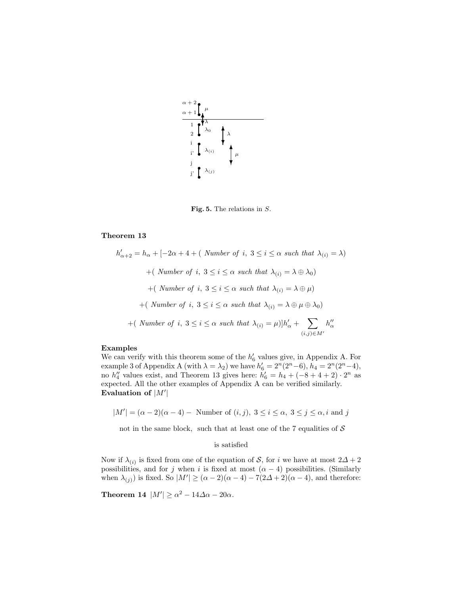

Fig. 5. The relations in  $S$ .

#### Theorem 13

 $h'_{\alpha+2} = h_{\alpha} + [-2\alpha + 4 + ($  Number of i,  $3 \leq i \leq \alpha$  such that  $\lambda_{(i)} = \lambda$ ) +( Number of i,  $3 \le i \le \alpha$  such that  $\lambda_{(i)} = \lambda \oplus \lambda_0$ ) +( Number of i,  $3 \leq i \leq \alpha$  such that  $\lambda_{(i)} = \lambda \oplus \mu$ ) +( Number of i,  $3 \leq i \leq \alpha$  such that  $\lambda_{(i)} = \lambda \oplus \mu \oplus \lambda_0$ ) + (Number of i,  $3 \leq i \leq \alpha$  such that  $\lambda_{(i)} = \mu$ ) $|h'_\alpha + \sum_{(i)}$  $(i,j)\in M'$  $h''_{\alpha}$ 

#### Examples

We can verify with this theorem some of the  $h'_6$  values give, in Appendix A. For example 3 of Appendix A (with  $\lambda = \lambda_2$ ) we have  $h'_6 = 2^n(2^n - 6)$ ,  $h_4 = 2^n(2^n - 4)$ , no  $h_4''$  values exist, and Theorem 13 gives here:  $h_6' = h_4 + (-8 + 4 + 2) \cdot 2^n$  as expected. All the other examples of Appendix A can be verified similarly. Evaluation of  $|M'|$ 

 $|M'| = (\alpha - 2)(\alpha - 4)$  – Number of  $(i, j)$ ,  $3 \leq i \leq \alpha$ ,  $3 \leq j \leq \alpha$ , i and j

not in the same block, such that at least one of the 7 equalities of  $S$ 

#### is satisfied

Now if  $\lambda_{(i)}$  is fixed from one of the equation of S, for i we have at most  $2\Delta + 2$ possibilities, and for j when i is fixed at most  $(\alpha - 4)$  possibilities. (Similarly when  $\lambda_{(j)}$  is fixed. So  $|M'| \geq (\alpha - 2)(\alpha - 4) - 7(2\Delta + 2)(\alpha - 4)$ , and therefore:

**Theorem 14**  $|M'| \ge \alpha^2 - 14\Delta\alpha - 20\alpha$ .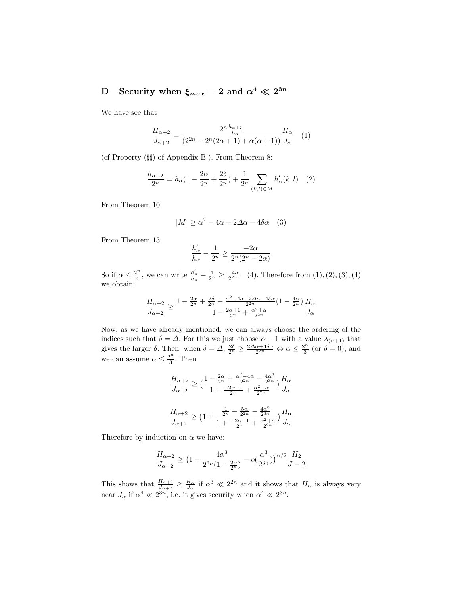## ${\rm D} \quad {\rm Security\ when\ } \xi_{max} = 2 \ {\rm and\ } \alpha^4 \ll 2^{3n}$

We have see that

$$
\frac{H_{\alpha+2}}{J_{\alpha+2}} = \frac{2^n \frac{h_{\alpha+2}}{h_{\alpha}}}{(2^{2n} - 2^n (2\alpha + 1) + \alpha(\alpha + 1))} \frac{H_{\alpha}}{J_{\alpha}} \quad (1)
$$

(cf Property  $(\sharp \sharp)$ ) of Appendix B.). From Theorem 8:

$$
\frac{h_{\alpha+2}}{2^n} = h_{\alpha}(1 - \frac{2\alpha}{2^n} + \frac{2\delta}{2^n}) + \frac{1}{2^n} \sum_{(k,l)\in M} h'_{\alpha}(k,l) \quad (2)
$$

From Theorem 10:

$$
|M| \ge \alpha^2 - 4\alpha - 2\Delta\alpha - 4\delta\alpha \quad (3)
$$

From Theorem 13:

$$
\frac{h'_\alpha}{h_\alpha}-\frac{1}{2^n}\geq \frac{-2\alpha}{2^n(2^n-2\alpha)}
$$

So if  $\alpha \leq \frac{2^n}{4}$  $\frac{a_1}{4}$ , we can write  $\frac{h'_\alpha}{h_\alpha} - \frac{1}{2^n} \geq \frac{-4\alpha}{2^{2n}}$  (4). Therefore from  $(1), (2), (3), (4)$ we obtain:

$$
\frac{H_{\alpha+2}}{J_{\alpha+2}}\geq\frac{1-\frac{2\alpha}{2^n}+\frac{2\delta}{2^n}+\frac{\alpha^2-4\alpha-2\Delta\alpha-4\delta\alpha}{2^{2n}}(1-\frac{4\alpha}{2^n})}{1-\frac{2\alpha+1}{2^n}+\frac{\alpha^2+\alpha}{2^{2n}}}\frac{H_{\alpha}}{J_{\alpha}}
$$

Now, as we have already mentioned, we can always choose the ordering of the indices such that  $\delta = \Delta$ . For this we just choose  $\alpha + 1$  with a value  $\lambda_{(\alpha+1)}$  that gives the larger  $\delta$ . Then, when  $\delta = \Delta$ ,  $\frac{2\delta}{2^n} \geq \frac{2\Delta_{\alpha} + 4\delta_{\alpha}}{2^{2n}} \Leftrightarrow \alpha \leq \frac{2^n}{3}$  $\frac{\partial^n}{\partial 3}$  (or  $\delta = 0$ ), and we can assume  $\alpha \leq \frac{2^n}{3}$  $\frac{2^n}{3}$ . Then

$$
\begin{aligned} \frac{H_{\alpha+2}}{J_{\alpha+2}} &\geq \big( \frac{1 - \frac{2\alpha}{2^n} + \frac{\alpha^2 - 4\alpha}{2^{2n}} - \frac{4\alpha^3}{2^{3n}}}{1 + \frac{-2\alpha - 1}{2^n} + \frac{\alpha^2 + \alpha}{2^{2n}}} \big) \frac{H_{\alpha}}{J_{\alpha}} \\ \frac{H_{\alpha+2}}{J_{\alpha+2}} &\geq \big( 1 + \frac{\frac{1}{2^n} - \frac{5\alpha}{2^{2n}} - \frac{4\alpha^3}{2^{3n}}}{1 + \frac{-2\alpha - 1}{2^n} + \frac{\alpha^2 + \alpha}{2^{2n}}} \big) \frac{H_{\alpha}}{J_{\alpha}} \end{aligned}
$$

Therefore by induction on  $\alpha$  we have:

$$
\frac{H_{\alpha+2}}{J_{\alpha+2}} \ge \left(1 - \frac{4\alpha^3}{2^{3n}(1 - \frac{2\alpha}{2^n})} - o(\frac{\alpha^3}{2^{3n}})\right)^{\alpha/2} \frac{H_2}{J-2}
$$

This shows that  $\frac{H_{\alpha+2}}{J_{\alpha+2}} \geq \frac{H_{\alpha}}{J_{\alpha}}$  if  $\alpha^3 \ll 2^{2n}$  and it shows that  $H_{\alpha}$  is always very near  $J_{\alpha}$  if  $\alpha^4 \ll 2^{3n}$ , i.e. it gives security when  $\alpha^4 \ll 2^{3n}$ .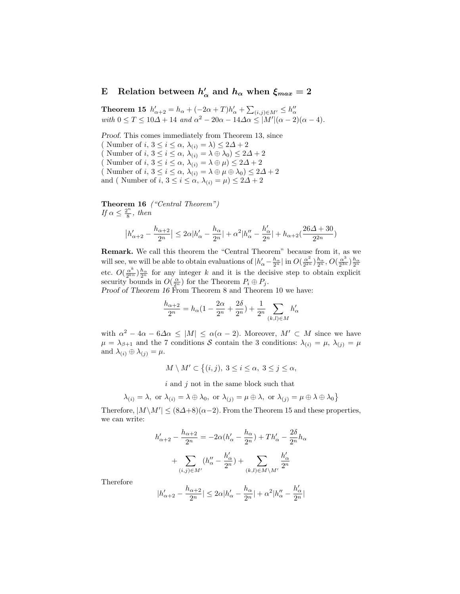#### E Relation between  $h'$  $\mu_{\alpha}'$  and  $h_{\alpha}$  when  $\xi_{max}=2$

Theorem 15  $h'_{\alpha+2} = h_{\alpha} + (-2\alpha + T)h'_{\alpha} + \sum_{(i,j) \in M'} \leq h''_{\alpha}$ with  $0 \leq T \leq 10\Delta + 14$  and  $\alpha^2 - 20\alpha - 14\Delta\alpha \leq |M'|(\alpha - 2)(\alpha - 4)$ .

Proof. This comes immediately from Theorem 13, since ( Number of  $i, 3 \leq i \leq \alpha$ ,  $\lambda_{(i)} = \lambda \leq 2\Delta + 2$ ( Number of  $i, 3 \leq i \leq \alpha$ ,  $\lambda_{(i)} = \lambda \oplus \lambda_0$ )  $\leq 2\Delta + 2$ ( Number of  $i, 3 \leq i \leq \alpha$ ,  $\lambda_{(i)} = \lambda \oplus \mu$ )  $\leq 2\Delta + 2$ ( Number of  $i, 3 \leq i \leq \alpha$ ,  $\lambda_{(i)} = \lambda \oplus \mu \oplus \lambda_0 \leq 2\Delta + 2$ and ( Number of i,  $3 \le i \le \alpha$ ,  $\lambda_{(i)} = \mu$ )  $\le 2\Delta + 2$ 

Theorem 16 ("Central Theorem") If  $\alpha \leq \frac{2^n}{8}$  $\frac{2^n}{8}$ , then

$$
\big| h'_{\alpha+2}-\frac{h_{\alpha+2}}{2^n}\big|\leq 2\alpha |h'_{\alpha}-\frac{h_{\alpha}}{2^n}|+\alpha^2 |h''_{\alpha}-\frac{h'_{\alpha}}{2^n}|+h_{\alpha+2}(\frac{26\varDelta+30}{2^{2n}})
$$

Remark. We call this theorem the "Central Theorem" because from it, as we will see, we will be able to obtain evaluations of  $|h'_\alpha - \frac{h_\alpha}{2^n}|$  in  $O(\frac{\alpha^2}{2^{2n}})$  $\frac{\alpha^2}{2^{2n}})\frac{h_\alpha}{2^n}, O(\frac{\alpha^3}{2^{3n}})$  $\frac{\alpha^3}{2^{3n}})\frac{h_\alpha}{2^n}$ etc.  $O(\frac{\alpha^k}{2^{kn}})$  $\frac{\alpha^k}{2^{kn}}\frac{h_\alpha}{2^n}$  for any integer k and it is the decisive step to obtain explicit security bounds in  $O(\frac{\alpha}{2^n})$  for the Theorem  $P_i \oplus P_j$ .

Proof of Theorem 16 From Theorem 8 and Theorem 10 we have:

$$
\frac{h_{\alpha+2}}{2^n} = h_{\alpha} (1 - \frac{2\alpha}{2^n} + \frac{2\delta}{2^n}) + \frac{1}{2^n} \sum_{(k,l) \in M} h'_{\alpha}
$$

with  $\alpha^2 - 4\alpha - 6\Delta\alpha \leq |M| \leq \alpha(\alpha - 2)$ . Moreover,  $M' \subset M$  since we have  $\mu = \lambda_{\beta+1}$  and the 7 conditions S contain the 3 conditions:  $\lambda_{(i)} = \mu$ ,  $\lambda_{(j)} = \mu$ and  $\lambda_{(i)} \oplus \lambda_{(j)} = \mu$ .

 $M \setminus M' \subset \{(i, j), 3 \leq i \leq \alpha, 3 \leq j \leq \alpha,$ 

 $i$  and  $j$  not in the same block such that

$$
\lambda_{(i)}=\lambda, \text{ or } \lambda_{(i)}=\lambda\oplus\lambda_0, \text{ or } \lambda_{(j)}=\mu\oplus\lambda, \text{ or } \lambda_{(j)}=\mu\oplus\lambda\oplus\lambda_0\}
$$

Therefore,  $|M \backslash M'| \leq (8\Delta+8)(\alpha-2)$ . From the Theorem 15 and these properties, we can write:

$$
h'_{\alpha+2} - \frac{h_{\alpha+2}}{2^n} = -2\alpha (h'_{\alpha} - \frac{h_{\alpha}}{2^n}) + Th'_{\alpha} - \frac{2\delta}{2^n}h_{\alpha}
$$

$$
+ \sum_{(i,j)\in M'} (h''_{\alpha} - \frac{h'_{\alpha}}{2^n}) + \sum_{(k,l)\in M\backslash M'} \frac{h'_{\alpha}}{2^n}
$$

Therefore

$$
|h'_{\alpha+2}-\frac{h_{\alpha+2}}{2^n}|\leq 2\alpha|h'_\alpha-\frac{h_\alpha}{2^n}|+\alpha^2|h''_\alpha-\frac{h'_\alpha}{2^n}|
$$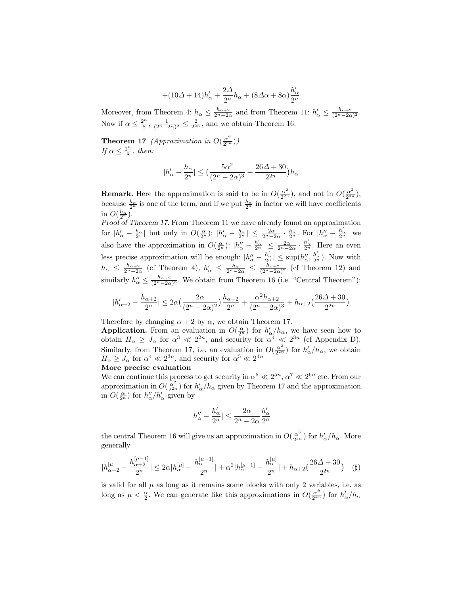$$
+(10\varDelta+14)h_{\alpha}'+\frac{2\varDelta}{2^n}h_{\alpha}+(8\varDelta\alpha+8\alpha)\frac{h_{\alpha}'}{2^n}
$$

Moreover, from Theorem 4:  $h_{\alpha} \leq \frac{h_{\alpha+2}}{2^{n}-2\alpha}$  and from Theorem 11:  $h'_{\alpha} \leq \frac{h_{\alpha+2}}{(2^{n}-2\alpha)^2}$ . Now if  $\alpha \leq \frac{2^n}{8}$  $\frac{2^n}{8}, \frac{1}{(2^n-2\alpha)^2} \leq \frac{2}{2^{2n}},$  and we obtain Theorem 16.

**Theorem 17** (Approximation in  $O(\frac{\alpha^2}{2^{2n}})$  $\frac{\alpha^2}{2^{2n}}))$ If  $\alpha \leq \frac{2^n}{8}$  $\frac{2^n}{8}$ , then:

$$
|h'_\alpha - \frac{h_\alpha}{2^n}| \le \big(\frac{5\alpha^2}{(2^n - 2\alpha)^3} + \frac{26\Delta + 30}{2^{2n}}\big)h_\alpha
$$

**Remark.** Here the approximation is said to be in  $O(\frac{\alpha^2}{2^{2r}})$  $\frac{\alpha^2}{2^{2n}}$ ), and not in  $O(\frac{\alpha^2}{2^{3n}})$  $\frac{\alpha^2}{2^{3n}}),$ because  $\frac{h_{\alpha}}{2^n}$  is one of the term, and if we put  $\frac{h_{\alpha}}{2^n}$  in factor we will have coefficients in  $O(\frac{h_{\alpha}}{2^n}).$ 

Proof of Theorem 17. From Theorem 11 we have already found an approximation for  $|h'_\alpha - \frac{h_\alpha}{2^n}|$  but only in  $O(\frac{\alpha}{2^n})$ :  $|h'_\alpha - \frac{h_\alpha}{2^n}| \leq \frac{2\alpha}{2^n-2\alpha} \cdot \frac{h_\alpha}{2^n}$ . For  $|h''_\alpha - \frac{h'_\alpha}{2^n}|$  we also have the approximation in  $O(\frac{\alpha}{2^n})$ :  $|h''_{\alpha} - \frac{h'_{\alpha}}{2^n}| \leq \frac{2\alpha}{2^n-2\alpha} \cdot \frac{h'_{\alpha}}{2^n}$ . Here an even less precise approximation will be enough:  $|h''_{\alpha} - \frac{h'_{\alpha}}{2^n}| \leq \sup(h''_{\alpha}, \frac{h'_{\alpha}}{2^n})$ . Now with  $h_{\alpha} \leq \frac{h_{\alpha+2}}{2^{n}-2\alpha}$  (cf Theorem 4),  $h'_{\alpha} \leq \frac{h_{\alpha}}{2^{n}-2\alpha} \leq \frac{h_{\alpha+2}}{(2^{n}-2\alpha)^2}$  (cf Theorem 12) and similarly  $h''_{\alpha} \leq \frac{h_{\alpha+2}}{(2^n-2\alpha)^3}$ . We obtain from Theorem 16 (i.e. "Central Theorem"):

$$
|h_{\alpha+2}' - \frac{h_{\alpha+2}}{2^n}| \leq 2\alpha \big(\frac{2\alpha}{(2^n-2\alpha)^2}\big)\frac{h_{\alpha+2}}{2^n} + \frac{\alpha^2 h_{\alpha+2}}{(2^n-2\alpha)^3} + h_{\alpha+2}\big(\frac{26\varDelta + 30}{2^{2n}}\big)
$$

Therefore by changing  $\alpha + 2$  by  $\alpha$ , we obtain Theorem 17.

**Application.** From an evaluation in  $O(\frac{\alpha}{2^n})$  for  $h'_\n{\alpha}/h_\alpha$ , we have seen how to obtain  $H_{\alpha} \geq J_{\alpha}$  for  $\alpha^3 \ll 2^{2n}$ , and security for  $\alpha^4 \ll 2^{3n}$  (cf Appendix D). Similarly, from Theorem 17, i.e. an evaluation in  $O(\frac{\alpha^2}{2^{2r}})$  $\frac{\alpha^2}{2^{2n}}$ ) for  $h'_\alpha/h_\alpha$ , we obtain  $H_{\alpha} \geq J_{\alpha}$  for  $\alpha^4 \ll 2^{3n}$ , and security for  $\alpha^5 \ll 2^{4n}$ 

### More precise evaluation

We can continue this process to get security in  $\alpha^6 \ll 2^{5n}$ ,  $\alpha^7 \ll 2^{6n}$  etc. From our approximation in  $O(\frac{\alpha^2}{2^{2r}})$  $\frac{\alpha^2}{2^{2n}}$  for  $h'_\alpha/h_\alpha$  given by Theorem 17 and the approximation in  $O(\frac{\alpha}{2^n})$  for  $h''_{\alpha}/h'_{\alpha}$  given by

$$
|h''_{\alpha}-\frac{h'_{\alpha}}{2^n}|\leq \frac{2\alpha}{2^n-2\alpha}\frac{h'_{\alpha}}{2^n}
$$

the central Theorem 16 will give us an approximation in  $O(\frac{\alpha^3}{2^{3n}})$  $\frac{\alpha^3}{2^{3n}}$ ) for  $h'_\alpha/h_\alpha$ . More generally

$$
|h_{\alpha+2}^{[\mu]} - \frac{h_{\alpha+2}^{[\mu-1]}}{2^n}| \le 2\alpha |h_{\alpha}^{[\mu]} - \frac{h_{\alpha}^{[\mu-1]}}{2^n}| + \alpha^2 |h_{\alpha}^{[\mu+1]} - \frac{h_{\alpha}^{[\mu]}}{2^n}| + h_{\alpha+2} \left(\frac{26\Delta + 30}{2^{2n}}\right) \quad (\sharp)
$$

is valid for all  $\mu$  as long as it remains some blocks with only 2 variables, i.e. as long as  $\mu < \frac{\alpha}{2}$ . We can generate like this approximations in  $O(\frac{\alpha^{k}}{2^{kn}})$  $\frac{\alpha^{\kappa}}{2^{kn}}$ ) for  $h'_{\alpha}/h_{\alpha}$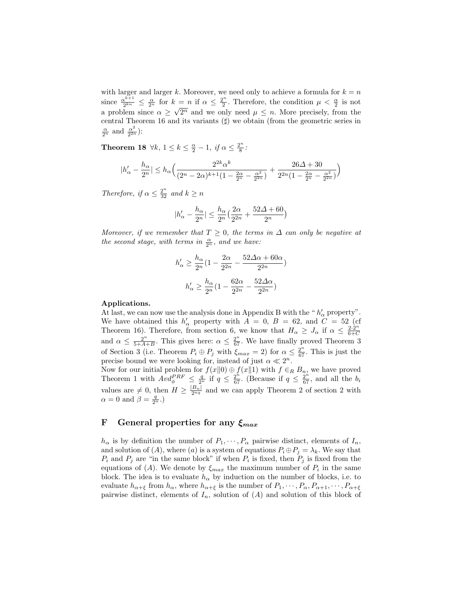with larger and larger k. Moreover, we need only to achieve a formula for  $k = n$ since  $\frac{\alpha^{k+1}}{2^{kn}}$  $\frac{\alpha^{k+1}}{2^{kn}} \leq \frac{\alpha}{2^n}$  for  $k = n$  if  $\alpha \leq \frac{2^n}{2}$  $c = n$  if  $\alpha \leq \frac{2^n}{2}$ . Therefore, the condition  $\mu < \frac{\alpha}{2}$  is not a problem since  $\alpha \geq \sqrt{2^n}$  and we only need  $\mu \leq n$ . More precisely, from the central Theorem 16 and its variants  $(\sharp)$  we obtain (from the geometric series in  $\frac{\alpha}{2^n}$  and  $\frac{\alpha^2}{2^{2n}}$  $\frac{\alpha^2}{2^{2n}})$ :

**Theorem 18**  $\forall k, 1 \leq k \leq \frac{\alpha}{2} - 1$ , if  $\alpha \leq \frac{2^n}{8}$  $\frac{y^n}{8}$ :

$$
|h'_{\alpha} - \frac{h_{\alpha}}{2^n}| \le h_{\alpha} \Big( \frac{2^{2k} \alpha^k}{(2^n - 2\alpha)^{k+1} (1 - \frac{2\alpha}{2^n} - \frac{\alpha^2}{2^{2n}})} + \frac{26\Delta + 30}{2^{2n} (1 - \frac{2\alpha}{2^n} - \frac{\alpha^2}{2^{2n}})} \Big)
$$

Therefore, if  $\alpha \leq \frac{2^n}{32}$  and  $k \geq n$ 

$$
|h'_{\alpha}-\frac{h_{\alpha}}{2^n}|\leq \frac{h_{\alpha}}{2^n}\big(\frac{2\alpha}{2^{2n}}+\frac{52\Delta+60}{2^n}\big)
$$

Moreover, if we remember that  $T \geq 0$ , the terms in  $\Delta$  can only be negative at the second stage, with terms in  $\frac{\alpha}{2^n}$ , and we have:

$$
h'_\alpha \ge \frac{h_\alpha}{2^n}(1 - \frac{2\alpha}{2^{2n}} - \frac{52\Delta\alpha + 60\alpha}{2^{2n}})
$$
  

$$
h'_\alpha \ge \frac{h_\alpha}{2^n}(1 - \frac{62\alpha}{2^{2n}} - \frac{52\Delta\alpha}{2^{2n}})
$$

#### Applications.

At last, we can now use the analysis done in Appendix B with the " $h'_\alpha$  property". We have obtained this  $h'_\alpha$  property with  $A = 0$ ,  $B = 62$ , and  $C = 52$  (cf Theorem 16). Therefore, from section 6, we know that  $H_{\alpha} \geq J_{\alpha}$  if  $\alpha \leq \frac{2 \cdot 2^{n}}{6+C}$  $_{6+C}$ and  $\alpha \leq \frac{2^n}{5+4}$  $\frac{2^n}{5+A+B}$ . This gives here:  $\alpha \leq \frac{2^n}{67}$ . We have finally proved Theorem 3 of Section 3 (i.e. Theorem  $P_i \oplus P_j$  with  $\xi_{max} = 2$ ) for  $\alpha \leq \frac{2^n}{67}$ . This is just the precise bound we were looking for, instead of just  $\alpha \ll 2^n$ .

Now for our initial problem for  $f(x||0) \oplus f(x||1)$  with  $f \in_R B_n$ , we have proved Theorem 1 with  $\text{Av}d_{\phi}^{PRF} \leq \frac{q}{2^n}$  if  $q \leq \frac{2^n}{67}$ . (Because if  $q \leq \frac{2^n}{67}$ , and all the  $b_i$ values are  $\neq 0$ , then  $H \geq \frac{|B_n|}{2^{nq}}$  and we can apply Theorem 2 of section 2 with  $\alpha = 0$  and  $\beta = \frac{q}{2^n}$ .)

## F General properties for any  $\xi_{max}$

 $h_{\alpha}$  is by definition the number of  $P_1, \dots, P_{\alpha}$  pairwise distinct, elements of  $I_n$ , and solution of  $(A)$ , where  $(a)$  is a system of equations  $P_i \oplus P_j = \lambda_k$ . We say that  $P_i$  and  $P_j$  are "in the same block" if when  $P_i$  is fixed, then  $P_j$  is fixed from the equations of (A). We denote by  $\xi_{max}$  the maximum number of  $P_i$  in the same block. The idea is to evaluate  $h_{\alpha}$  by induction on the number of blocks, i.e. to evaluate  $h_{\alpha+\xi}$  from  $h_{\alpha}$ , where  $h_{\alpha+\xi}$  is the number of  $P_1, \dots, P_{\alpha}, P_{\alpha+1}, \dots, P_{\alpha+\xi}$ pairwise distinct, elements of  $I_n$ , solution of  $(A)$  and solution of this block of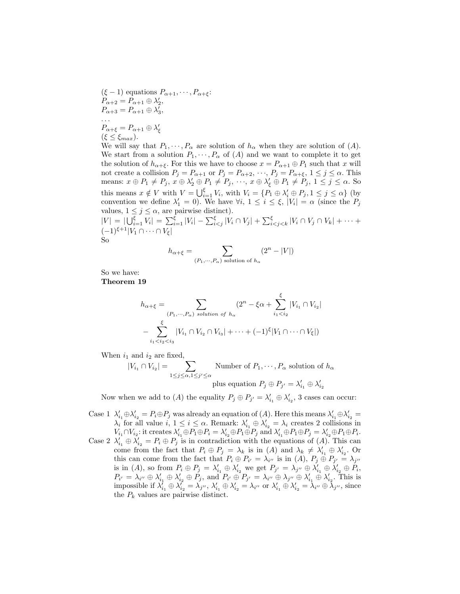$(\xi - 1)$  equations  $P_{\alpha+1}, \cdots, P_{\alpha+\xi}$ :  $P_{\alpha+2} = P_{\alpha+1} \oplus \lambda'_2,$  $P_{\alpha+3} = P_{\alpha+1} \oplus \lambda'_3,$ . . .  $P_{\alpha+\xi} = P_{\alpha+1} \oplus \lambda'_{\xi}$  $(\xi \leq \xi_{max}).$ 

We will say that  $P_1, \dots, P_\alpha$  are solution of  $h_\alpha$  when they are solution of  $(A)$ . We start from a solution  $P_1, \dots, P_\alpha$  of  $(A)$  and we want to complete it to get the solution of  $h_{\alpha+\xi}$ . For this we have to choose  $x = P_{\alpha+1} \oplus P_1$  such that x will not create a collision  $P_j = P_{\alpha+1}$  or  $P_j = P_{\alpha+2}, \dots, P_j = P_{\alpha+\xi}, 1 \le j \le \alpha$ . This means:  $x \oplus P_1 \neq P_j$ ,  $x \oplus \lambda'_2 \oplus P_1 \neq P_j$ ,  $\cdots$ ,  $x \oplus \lambda'_\xi \oplus P_1 \neq P_j$ ,  $1 \leq j \leq \alpha$ . So this means  $x \notin V$  with  $V = \bigcup_{i=1}^{\xi} V_i$ , with  $V_i = \{P_1 \oplus \lambda'_i \oplus P_j, 1 \leq j \leq \alpha\}$  (by convention we define  $\lambda'_1 = 0$ ). We have  $\forall i, 1 \leq i \leq \xi, |V_i| = \alpha$  (since the  $P_j$ values,  $1 \leq j \leq \alpha$ , are pairwise distinct).

 $|V| = |\bigcup_{i=1}^{\xi} V_i| = \sum_{i=1}^{\xi} |V_i| - \sum_{i \leq j}^{\xi} |V_i \cap V_j| + \sum_{i \leq j \leq k}^{\xi} |V_i \cap V_j \cap V_k| + \cdots +$  $(-1)^{\xi+1}|V_1 \cap \cdots \cap V_\xi|$ So

$$
h_{\alpha+\xi} = \sum_{(P_1,\cdots,P_{\alpha}) \text{ solution of } h_{\alpha}} (2^n - |V|)
$$

So we have: Theorem 19

$$
h_{\alpha+\xi} = \sum_{(P_1,\dots,P_{\alpha}) \text{ solution of } h_{\alpha}} (2^n - \xi \alpha + \sum_{i_1 < i_2}^{\xi} |V_{i_1} \cap V_{i_2}|
$$
  
- 
$$
\sum_{i_1 < i_2 < i_3}^{\xi} |V_{i_1} \cap V_{i_2} \cap V_{i_3}| + \dots + (-1)^{\xi} |V_1 \cap \dots \cap V_{\xi}|)
$$

When  $i_1$  and  $i_2$  are fixed,

$$
|V_{i_1} \cap V_{i_2}| = \sum_{1 \leq j \leq \alpha, 1 \leq j' \leq \alpha} \text{Number of } P_1, \dots, P_\alpha \text{ solution of } h_\alpha
$$
  
plus equation 
$$
P_j \oplus P_{j'} = \lambda'_{i_1} \oplus \lambda'_{i_2}
$$

Now when we add to (A) the equality  $P_j \oplus P_{j'} = \lambda'_{i_1} \oplus \lambda'_{i_2}$ , 3 cases can occur:

Case 1  $\lambda'_{i_1} \oplus \lambda'_{i_2} = P_i \oplus P_j$  was already an equation of  $(A)$ . Here this means  $\lambda'_{i_1} \oplus \lambda'_{i_2} =$  $\lambda_i$  for all value  $i, 1 \leq i \leq \alpha$ . Remark:  $\lambda'_{i_1} \oplus \lambda'_{i_2} = \lambda_i$  creates 2 collisions in  $V_{i_1} \cap V_{i_2}$ : it creates  $\lambda'_{i_1} \oplus P_1 \oplus P_i = \lambda'_{i_2} \oplus P_1 \oplus P_j$  and  $\lambda'_{i_1} \oplus P_1 \oplus P_j = \lambda'_{i_2} \oplus P_1 \oplus P_i$ . Case 2  $\lambda'_{i_1} \oplus \lambda'_{i_2} = P_i \oplus P_j$  is in contradiction with the equations of (A). This can come from the fact that  $P_i \oplus P_j = \lambda_k$  is in  $(A)$  and  $\lambda_k \neq \lambda'_{i_1} \oplus \lambda'_{i_2}$ . Or this can come from the fact that  $P_i \oplus P_{i'} = \lambda_{i''}$  is in  $(A)$ ,  $P_j \oplus P_{j'} = \lambda_{j''}$ is in (A), so from  $P_i \oplus P_j = \lambda'_{i_1} \oplus \lambda'_{i_2}$  we get  $P_{j'} = \lambda_{j''} \oplus \lambda'_{i_1} \oplus \lambda'_{i_2} \oplus P_i$ ,  $P_{i'} = \lambda_{i''} \oplus \lambda'_{i_1} \oplus \lambda'_{i_2} \oplus P_j$ , and  $P_{i'} \oplus P_{j'} = \lambda_{i''} \oplus \lambda_{j''} \oplus \lambda'_{i_1} \oplus \lambda'_{i_2}$ . This is impossible if  $\lambda_{i_1}^{\prime} \oplus \lambda_{i_2}^{\prime} = \lambda_{j''}, \lambda_{i_1}' \oplus \lambda_{i_2}' = \lambda_{i''}$  or  $\lambda_{i_1}' \oplus \lambda_{i_2}' = \lambda_{i''} \oplus \lambda_{j''}$ , since the  $P_k$  values are pairwise distinct.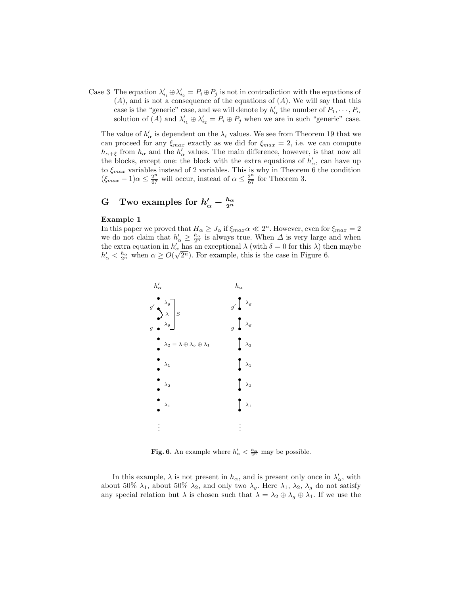Case 3 The equation  $\lambda'_{i_1} \oplus \lambda'_{i_2} = P_i \oplus P_j$  is not in contradiction with the equations of  $(A)$ , and is not a consequence of the equations of  $(A)$ . We will say that this case is the "generic" case, and we will denote by  $h'_\alpha$  the number of  $P_1, \dots, P_\alpha$ solution of (A) and  $\lambda'_{i_1} \oplus \lambda'_{i_2} = P_i \oplus P_j$  when we are in such "generic" case.

The value of  $h'_\alpha$  is dependent on the  $\lambda_i$  values. We see from Theorem 19 that we can proceed for any  $\xi_{max}$  exactly as we did for  $\xi_{max} = 2$ , i.e. we can compute  $h_{\alpha+\xi}$  from  $h_{\alpha}$  and the  $h'_{\alpha}$  values. The main difference, however, is that now all the blocks, except one: the block with the extra equations of  $h'_\alpha$ , can have up to  $\xi_{max}$  variables instead of 2 variables. This is why in Theorem 6 the condition  $(\xi_{max} - 1)\alpha \leq \frac{2^n}{67}$  will occur, instead of  $\alpha \leq \frac{2^n}{67}$  for Theorem 3.

# G Two examples for  $h'_\alpha - \frac{h_\alpha}{2^n}$

#### Example 1

In this paper we proved that  $H_{\alpha} \geq J_{\alpha}$  if  $\xi_{max} \alpha \ll 2^{n}$ . However, even for  $\xi_{max} = 2$ we do not claim that  $h'_{\alpha} \geq \frac{h_{\alpha}}{2^n}$  is always true. When  $\Delta$  is very large and when the extra equation in  $h'_\alpha$  has an exceptional  $\lambda$  (with  $\delta = 0$  for this  $\lambda$ ) then maybe  $h'_\alpha < \frac{h_\alpha}{2^n}$  when  $\alpha \geq O(\sqrt{2^n})$ . For example, this is the case in Figure 6.



**Fig. 6.** An example where  $h'_{\alpha} < \frac{h_{\alpha}}{2^n}$  may be possible.

In this example,  $\lambda$  is not present in  $h_{\alpha}$ , and is present only once in  $\lambda'_{\alpha}$ , with about 50%  $\lambda_1$ , about 50%  $\lambda_2$ , and only two  $\lambda_g$ . Here  $\lambda_1$ ,  $\lambda_2$ ,  $\lambda_g$  do not satisfy any special relation but  $\lambda$  is chosen such that  $\lambda = \lambda_2 \oplus \lambda_g \oplus \lambda_1$ . If we use the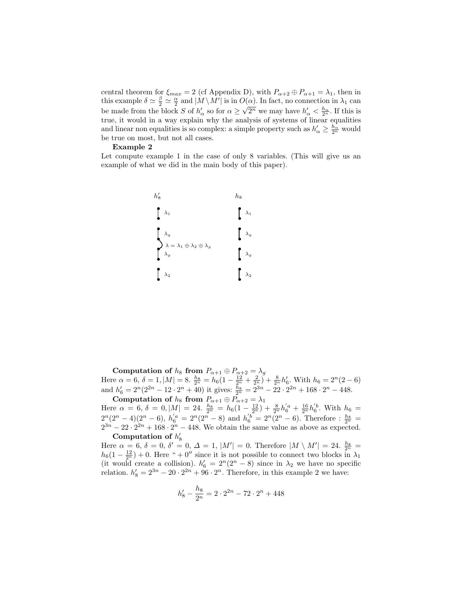central theorem for  $\xi_{max} = 2$  (cf Appendix D), with  $P_{\alpha+2} \oplus P_{\alpha+1} = \lambda_1$ , then in this example  $\delta \simeq \frac{\beta}{2} \simeq \frac{\alpha}{2}$  and  $|M \setminus M'|$  is in  $O(\alpha)$ . In fact, no connection in  $\lambda_1$  can be made from the block S of  $h'_\alpha$  so for  $\alpha \geq \sqrt{2^n}$  we may have  $h'_\alpha < \frac{h_\alpha}{2^n}$ . If this is true, it would in a way explain why the analysis of systems of linear equalities and linear non equalities is so complex: a simple property such as  $h'_{\alpha} \geq \frac{h_{\alpha}}{2^n}$  would be true on most, but not all cases.

#### Example 2

Let compute example 1 in the case of only 8 variables. (This will give us an example of what we did in the main body of this paper).



Computation of  $h_8$  from  $P_{\alpha+1}\oplus P_{\alpha+2}=\lambda_g$ Here  $\alpha = 6$ ,  $\delta = 1$ ,  $|M| = 8$ .  $\frac{h_8}{2^n} = h_6(1 - \frac{12}{2^n} + \frac{2}{2^n}) + \frac{8}{2^n}h'_6$ . With  $h_6 = 2^n(2-6)$ and  $h'_6 = 2^n(2^{2n} - 12 \cdot 2^n + 40)$  it gives:  $\frac{h_8}{2^n} = 2^{3n} - 22 \cdot 2^{2n} + 168 \cdot 2^n - 448$ .

Computation of  $h_8$  from  $P_{\alpha+1} \oplus P_{\alpha+2} = \lambda_1$ Here  $\alpha = 6, \delta = 0, |M| = 24.$   $\frac{h_8}{2^n} = h_6(1 - \frac{12}{2^n}) + \frac{8}{2^n}h_6'^a + \frac{16}{2^n}h_6'^b$ . With  $h_6 =$  $2^{n}(2^{n}-4)(2^{n}-6), h'_{6}^{a}=2^{n}(2^{n}-8)$  and  $h'_{6}^{b}=2^{n}(2^{n}-6)$ . Therefore :  $\frac{h_{8}}{2^{n}}=$  $2^{3n} - 22 \cdot 2^{2n} + 168 \cdot 2^n - 448$ . We obtain the same value as above as expected. Computation of  $h'_8$ 

Here  $\alpha = 6, \delta = 0, \delta' = 0, \Delta = 1, |M'| = 0$ . Therefore  $|M \setminus M'| = 24$ .  $\frac{h_8}{2^n} =$  $h_6(1-\frac{12}{2^n})+0$ . Here " + 0" since it is not possible to connect two blocks in  $\lambda_1$ (it would create a collision).  $h'_6 = 2^n(2^n - 8)$  since in  $\lambda_2$  we have no specific relation.  $h'_8 = 2^{3n} - 20 \cdot 2^{2n} + 96 \cdot 2^n$ . Therefore, in this example 2 we have:

$$
h'_8 - \frac{h_8}{2^n} = 2 \cdot 2^{2n} - 72 \cdot 2^n + 448
$$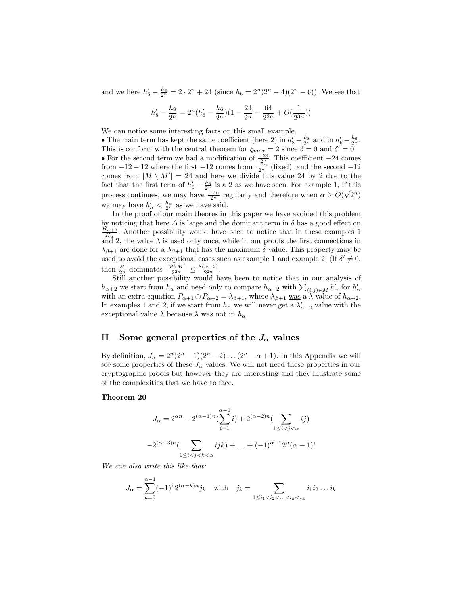and we here  $h'_6 - \frac{h_6}{2^n} = 2 \cdot 2^n + 24$  (since  $h_6 = 2^n(2^n - 4)(2^n - 6)$ ). We see that

$$
h^{\prime}_8 - \frac{h_8}{2^n} = 2^n(h^{\prime}_6 - \frac{h_6}{2^n})(1 - \frac{24}{2^n} - \frac{64}{2^{2n}} + O(\frac{1}{2^{3n}}))
$$

We can notice some interesting facts on this small example.

• The main term has kept the same coefficient (here 2) in  $h'_8 - \frac{h_8}{2^n}$  and in  $h'_6 - \frac{h_6}{2^n}$ . This is conform with the central theorem for  $\xi_{max} = 2$  since  $\delta = 0$  and  $\delta' = 0$ . • For the second term we had a modification of  $\frac{-24}{3^n}$ . This coefficient  $-24$  comes from  $-12 - 12$  where the first  $-12$  comes from  $\frac{-2\alpha}{2^n}$  (fixed), and the second  $-12$ comes from  $|M \setminus M'| = 24$  and here we divide this value 24 by 2 due to the fact that the first term of  $h'_6 - \frac{h_6}{2^n}$  is a 2 as we have seen. For example 1, if this process continues, we may have  $\frac{-2\alpha}{2^n}$  regularly and therefore when  $\alpha \ge O(\sqrt{2^n})$ we may have  $h'_{\alpha} < \frac{h_{\alpha}}{2^n}$  as we have said.

In the proof of our main theores in this paper we have avoided this problem by noticing that here  $\Delta$  is large and the dominant term in  $\delta$  has a good effect on  $H_{\alpha+2}$  $H_{\alpha}$  $\pm$ <sup>2</sup>. Another possibility would have been to notice that in these examples 1 and 2, the value  $\lambda$  is used only once, while in our proofs the first connections in  $\lambda_{\beta+1}$  are done for a  $\lambda_{\beta+1}$  that has the maximum  $\delta$  value. This property may be used to avoid the exceptional cases such as example 1 and example 2. (If  $\delta' \neq 0$ , then  $\frac{\delta'}{2^n}$  dominates  $\frac{|M\setminus M'|}{2^{2n}}$  $\frac{N\setminus M'}{2^{2n}}\leq \frac{8(\alpha-2)}{2^{2n}}$  $\frac{\alpha-2j}{2^{2n}}$ .

Still another possibility would have been to notice that in our analysis of  $h_{\alpha+2}$  we start from  $h_{\alpha}$  and need only to compare  $h_{\alpha+2}$  with  $\sum_{(i,j)\in M} h'_{\alpha}$  for  $h'_{\alpha}$ with an extra equation  $P_{\alpha+1} \oplus P_{\alpha+2} = \lambda_{\beta+1}$ , where  $\lambda_{\beta+1}$  was a  $\lambda \widetilde{\lambda}$  value of  $h_{\alpha+2}$ . In examples 1 and 2, if we start from  $h_{\alpha}$  we will never get a  $\lambda'_{\alpha-2}$  value with the exceptional value  $\lambda$  because  $\lambda$  was not in  $h_{\alpha}$ .

### H Some general properties of the  $J_{\alpha}$  values

By definition,  $J_{\alpha} = 2^{n}(2^{n}-1)(2^{n}-2)...(2^{n}-\alpha+1)$ . In this Appendix we will see some properties of these  $J_{\alpha}$  values. We will not need these properties in our cryptographic proofs but however they are interesting and they illustrate some of the complexities that we have to face.

#### Theorem 20

$$
J_{\alpha} = 2^{\alpha n} - 2^{(\alpha - 1)n} (\sum_{i=1}^{\alpha - 1} i) + 2^{(\alpha - 2)n} (\sum_{1 \le i < j < \alpha} ij)
$$

$$
-2^{(\alpha - 3)n} (\sum_{1 \le i < j < k < \alpha} ijk) + \ldots + (-1)^{\alpha - 1} 2^{n} (\alpha - 1)!
$$

We can also write this like that:

$$
J_{\alpha} = \sum_{k=0}^{\alpha-1} (-1)^k 2^{(\alpha-k)n} j_k \text{ with } j_k = \sum_{1 \le i_1 < i_2 < \dots < i_k < i_{\alpha}} i_1 i_2 \dots i_k
$$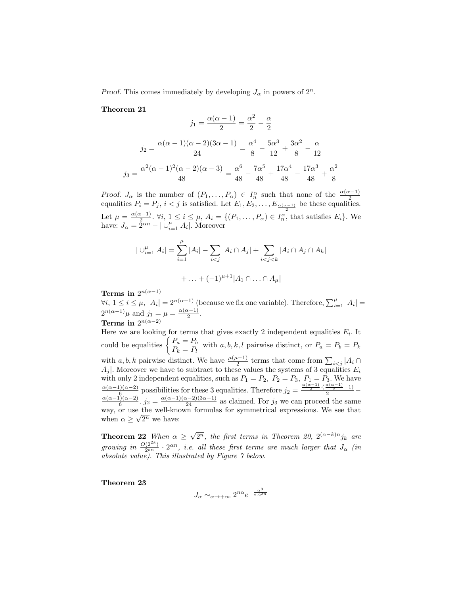*Proof.* This comes immediately by developing  $J_{\alpha}$  in powers of  $2^{n}$ .

Theorem 21

$$
j_1 = \frac{\alpha(\alpha - 1)}{2} = \frac{\alpha^2}{2} - \frac{\alpha}{2}
$$

$$
j_2 = \frac{\alpha(\alpha - 1)(\alpha - 2)(3\alpha - 1)}{24} = \frac{\alpha^4}{8} - \frac{5\alpha^3}{12} + \frac{3\alpha^2}{8} - \frac{\alpha}{12}
$$

$$
j_3 = \frac{\alpha^2(\alpha - 1)^2(\alpha - 2)(\alpha - 3)}{48} = \frac{\alpha^6}{48} - \frac{7\alpha^5}{48} + \frac{17\alpha^4}{48} - \frac{17\alpha^3}{48} + \frac{\alpha^2}{8}
$$

*Proof.*  $J_{\alpha}$  is the number of  $(P_1, \ldots, P_{\alpha}) \in I_n^{\alpha}$  such that none of the  $\frac{\alpha(\alpha-1)}{2}$  equalities  $P_i = P_j$ ,  $i < j$  is satisfied. Let  $E_1, E_2, \ldots, E_{\frac{\alpha(\alpha-1)}{2}}$  be these equalities. Let  $\mu = \frac{\alpha(\alpha-1)}{2}$  $\frac{(n-1)}{2}$ .  $\forall i, 1 \leq i \leq \mu$ ,  $A_i = \{(P_1, \ldots, P_\alpha) \in I_n^{\alpha}$ , that satisfies  $E_i\}$ . We have:  $J_{\alpha} = 2^{\alpha n} - |\cup_{i=1}^{\mu} A_i|$ . Moreover

$$
|\bigcup_{i=1}^{\mu} A_i| = \sum_{i=1}^{\mu} |A_i| - \sum_{i < j} |A_i \cap A_j| + \sum_{i < j < k} |A_i \cap A_j \cap A_k| + \dots + (-1)^{\mu+1} |A_1 \cap \dots \cap A_\mu|
$$

Terms in  $2^{n(\alpha-1)}$ 

 $\forall i, 1 \leq i \leq \mu, |A_i| = 2^{n(\alpha-1)}$  (because we fix one variable). Therefore,  $\sum_{i=1}^{\mu} |A_i|$  =  $2^{n(\alpha-1)}\mu$  and  $j_1 = \mu = \frac{\alpha(\alpha-1)}{2}$  $\frac{\frac{x-1}{2}}{2}$ .

Terms in  $2^{n(\alpha-2)}$ 

Here we are looking for terms that gives exactly 2 independent equalities  $E_i$ . It could be equalities  $\begin{cases} P_a = P_b \ P_a \end{cases}$  $P_k = P_l$  with  $a, b, k, l$  pairwise distinct, or  $P_a = P_b = P_k$ with a, b, k pairwise distinct. We have  $\frac{\mu(\mu-1)}{2}$  terms that come from  $\sum_{i < j} |A_i \cap A_i|$  $A_j$ . Moreover we have to subtract to these values the systems of 3 equalities  $E_i$ with only 2 independent equalities, such as  $P_1 = P_2$ ,  $P_2 = P_3$ ,  $P_1 = P_3$ . We have  $\alpha(\alpha-1)(\alpha-2)$  $\frac{\alpha(\alpha-1)(\alpha-2)}{6}$  possibilities for these 3 equalities. Therefore  $j_2 = \frac{\frac{\alpha(\alpha-1)}{2} \cdot (\frac{\alpha(\alpha-1)}{2}-1)}{2} - \frac{\alpha(\alpha-1)(\alpha-2)}{2}$  $\frac{(\lambda)(\alpha-2)}{6}$ .  $j_2 = \frac{\alpha(\alpha-1)(\alpha-2)(3\alpha-1)}{24}$  as claimed. For  $j_3$  we can proceed the same way, or use the well-known formulas for symmetrical expressions. We see that when  $\alpha \geq \sqrt{2^n}$  we have:

**Theorem 22** When  $\alpha \geq$ √  $\overline{2^n}$ , the first terms in Theorem 20,  $2^{(\alpha-k)n}j_k$  are growing in  $\frac{O(2^{2k})}{2^{kn}}$  $\frac{(2^{2\kappa})}{2^{kn}} \cdot 2^{\alpha n}$ , i.e. all these first terms are much larger that  $J_{\alpha}$  (in absolute value). This illustrated by Figure  $\gamma$  below.

Theorem 23

$$
J_{\alpha}\sim_{\alpha\to+\infty}2^{n\alpha}e^{-\frac{\alpha^3}{2\cdot 2^{2n}}}
$$